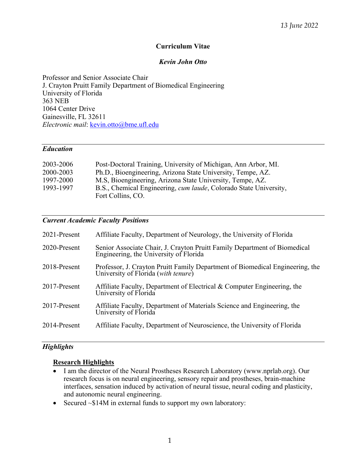# **Curriculum Vitae**

# *Kevin John Otto*

Professor and Senior Associate Chair J. Crayton Pruitt Family Department of Biomedical Engineering University of Florida 363 NEB 1064 Center Drive Gainesville, FL 32611 *Electronic mail*: kevin.otto@bme.ufl.edu

### *Education*

| 2003-2006 | Post-Doctoral Training, University of Michigan, Ann Arbor, MI.            |
|-----------|---------------------------------------------------------------------------|
| 2000-2003 | Ph.D., Bioengineering, Arizona State University, Tempe, AZ.               |
| 1997-2000 | M.S, Bioengineering, Arizona State University, Tempe, AZ.                 |
| 1993-1997 | B.S., Chemical Engineering, <i>cum laude</i> , Colorado State University, |
|           | Fort Collins, CO.                                                         |

# *Current Academic Faculty Positions*

| 2021-Present | Affiliate Faculty, Department of Neurology, the University of Florida                                                |
|--------------|----------------------------------------------------------------------------------------------------------------------|
| 2020-Present | Senior Associate Chair, J. Crayton Pruitt Family Department of Biomedical<br>Engineering, the University of Florida  |
| 2018-Present | Professor, J. Crayton Pruitt Family Department of Biomedical Engineering, the<br>University of Florida (with tenure) |
| 2017-Present | Affiliate Faculty, Department of Electrical & Computer Engineering, the<br>University of Florida                     |
| 2017-Present | Affiliate Faculty, Department of Materials Science and Engineering, the<br>University of Florida                     |
| 2014-Present | Affiliate Faculty, Department of Neuroscience, the University of Florida                                             |

# *Highlights*

# **Research Highlights**

- I am the director of the Neural Prostheses Research Laboratory (www.nprlab.org). Our research focus is on neural engineering, sensory repair and prostheses, brain-machine interfaces, sensation induced by activation of neural tissue, neural coding and plasticity, and autonomic neural engineering.
- Secured ~\$14M in external funds to support my own laboratory: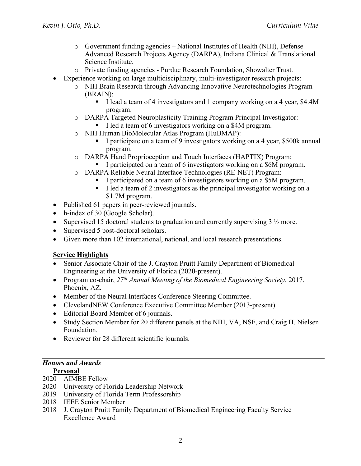- $\circ$  Government funding agencies National Institutes of Health (NIH), Defense Advanced Research Projects Agency (DARPA), Indiana Clinical & Translational Science Institute.
- o Private funding agencies Purdue Research Foundation, Showalter Trust.
- Experience working on large multidisciplinary, multi-investigator research projects:
	- o NIH Brain Research through Advancing Innovative Neurotechnologies Program (BRAIN):
		- I lead a team of 4 investigators and 1 company working on a 4 year, \$4.4M program.
	- o DARPA Targeted Neuroplasticity Training Program Principal Investigator: I led a team of 6 investigators working on a \$4M program.
	- o NIH Human BioMolecular Atlas Program (HuBMAP):
		- I participate on a team of 9 investigators working on a 4 year, \$500k annual program.
	- o DARPA Hand Proprioception and Touch Interfaces (HAPTIX) Program:
		- I participated on a team of 6 investigators working on a \$6M program.
	- o DARPA Reliable Neural Interface Technologies (RE-NET) Program:
		- I participated on a team of 6 investigators working on a \$5M program.
		- I led a team of 2 investigators as the principal investigator working on a \$1.7M program.
- Published 61 papers in peer-reviewed journals.
- h-index of 30 (Google Scholar).
- Supervised 15 doctoral students to graduation and currently supervising  $3\frac{1}{2}$  more.
- Supervised 5 post-doctoral scholars.
- Given more than 102 international, national, and local research presentations.

# **Service Highlights**

- Senior Associate Chair of the J. Crayton Pruitt Family Department of Biomedical Engineering at the University of Florida (2020-present).
- Program co-chair, *27th Annual Meeting of the Biomedical Engineering Society.* 2017. Phoenix, AZ.
- Member of the Neural Interfaces Conference Steering Committee.
- ClevelandNEW Conference Executive Committee Member (2013-present).
- Editorial Board Member of 6 journals.
- Study Section Member for 20 different panels at the NIH, VA, NSF, and Craig H. Nielsen Foundation.
- Reviewer for 28 different scientific journals.

# *Honors and Awards*

# **Personal**

- 2020 AIMBE Fellow
- 2020 University of Florida Leadership Network
- 2019 University of Florida Term Professorship
- 2018 IEEE Senior Member
- 2018 J. Crayton Pruitt Family Department of Biomedical Engineering Faculty Service Excellence Award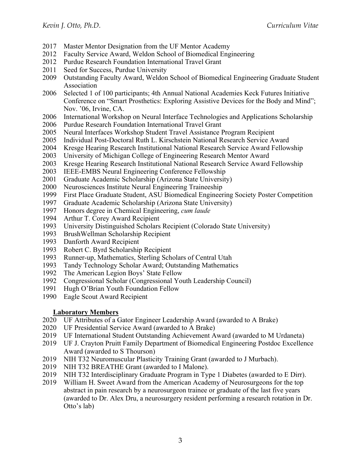- 2017 Master Mentor Designation from the UF Mentor Academy
- 2012 Faculty Service Award, Weldon School of Biomedical Engineering
- 2012 Purdue Research Foundation International Travel Grant
- 2011 Seed for Success, Purdue University
- 2009 Outstanding Faculty Award, Weldon School of Biomedical Engineering Graduate Student Association
- 2006 Selected 1 of 100 participants; 4th Annual National Academies Keck Futures Initiative Conference on "Smart Prosthetics: Exploring Assistive Devices for the Body and Mind"; Nov. '06, Irvine, CA.
- 2006 International Workshop on Neural Interface Technologies and Applications Scholarship
- 2006 Purdue Research Foundation International Travel Grant
- 2005 Neural Interfaces Workshop Student Travel Assistance Program Recipient
- 2005 Individual Post-Doctoral Ruth L. Kirschstein National Research Service Award
- 2004 Kresge Hearing Research Institutional National Research Service Award Fellowship
- 2003 University of Michigan College of Engineering Research Mentor Award
- 2003 Kresge Hearing Research Institutional National Research Service Award Fellowship
- 2003 IEEE-EMBS Neural Engineering Conference Fellowship
- 2001 Graduate Academic Scholarship (Arizona State University)
- 2000 Neurosciences Institute Neural Engineering Traineeship
- 1999 First Place Graduate Student, ASU Biomedical Engineering Society Poster Competition
- 1997 Graduate Academic Scholarship (Arizona State University)
- 1997 Honors degree in Chemical Engineering, *cum laude*
- 1994 Arthur T. Corey Award Recipient
- 1993 University Distinguished Scholars Recipient (Colorado State University)
- 1993 BrushWellman Scholarship Recipient
- 1993 Danforth Award Recipient
- 1993 Robert C. Byrd Scholarship Recipient
- 1993 Runner-up, Mathematics, Sterling Scholars of Central Utah
- 1993 Tandy Technology Scholar Award; Outstanding Mathematics
- 1992 The American Legion Boys' State Fellow
- 1992 Congressional Scholar (Congressional Youth Leadership Council)
- 1991 Hugh O'Brian Youth Foundation Fellow
- 1990 Eagle Scout Award Recipient

# **Laboratory Members**

- 2020 UF Attributes of a Gator Engineer Leadership Award (awarded to A Brake)
- 2020 UF Presidential Service Award (awarded to A Brake)
- 2019 UF International Student Outstanding Achievement Award (awarded to M Urdaneta)
- 2019 UF J. Crayton Pruitt Family Department of Biomedical Engineering Postdoc Excellence Award (awarded to S Thourson)
- 2019 NIH T32 Neuromuscular Plasticity Training Grant (awarded to J Murbach).
- 2019 NIH T32 BREATHE Grant (awarded to I Malone).
- 2019 NIH T32 Interdisciplinary Graduate Program in Type 1 Diabetes (awarded to E Dirr).
- 2019 William H. Sweet Award from the American Academy of Neurosurgeons for the top abstract in pain research by a neurosurgeon trainee or graduate of the last five years (awarded to Dr. Alex Dru, a neurosurgery resident performing a research rotation in Dr. Otto's lab)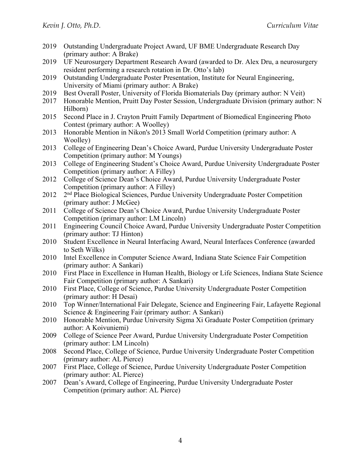- 2019 Outstanding Undergraduate Project Award, UF BME Undergraduate Research Day (primary author: A Brake)
- 2019 UF Neurosurgery Department Research Award (awarded to Dr. Alex Dru, a neurosurgery resident performing a research rotation in Dr. Otto's lab)
- 2019 Outstanding Undergraduate Poster Presentation, Institute for Neural Engineering, University of Miami (primary author: A Brake)
- 2019 Best Overall Poster, University of Florida Biomaterials Day (primary author: N Veit)
- 2017 Honorable Mention, Pruitt Day Poster Session, Undergraduate Division (primary author: N Hilborn)
- 2015 Second Place in J. Crayton Pruitt Family Department of Biomedical Engineering Photo Contest (primary author: A Woolley)
- 2013 Honorable Mention in Nikon's 2013 Small World Competition (primary author: A Woolley)
- 2013 College of Engineering Dean's Choice Award, Purdue University Undergraduate Poster Competition (primary author: M Youngs)
- 2013 College of Engineering Student's Choice Award, Purdue University Undergraduate Poster Competition (primary author: A Filley)
- 2012 College of Science Dean's Choice Award, Purdue University Undergraduate Poster Competition (primary author: A Filley)
- 2012 2<sup>nd</sup> Place Biological Sciences, Purdue University Undergraduate Poster Competition (primary author: J McGee)
- 2011 College of Science Dean's Choice Award, Purdue University Undergraduate Poster Competition (primary author: LM Lincoln)
- 2011 Engineering Council Choice Award, Purdue University Undergraduate Poster Competition (primary author: TJ Hinton)
- 2010 Student Excellence in Neural Interfacing Award, Neural Interfaces Conference (awarded to Seth Wilks)
- 2010 Intel Excellence in Computer Science Award, Indiana State Science Fair Competition (primary author: A Sankari)
- 2010 First Place in Excellence in Human Health, Biology or Life Sciences, Indiana State Science Fair Competition (primary author: A Sankari)
- 2010 First Place, College of Science, Purdue University Undergraduate Poster Competition (primary author: H Desai)
- 2010 Top Winner/International Fair Delegate, Science and Engineering Fair, Lafayette Regional Science & Engineering Fair (primary author: A Sankari)
- 2010 Honorable Mention, Purdue University Sigma Xi Graduate Poster Competition (primary author: A Koivuniemi)
- 2009 College of Science Peer Award, Purdue University Undergraduate Poster Competition (primary author: LM Lincoln)
- 2008 Second Place, College of Science, Purdue University Undergraduate Poster Competition (primary author: AL Pierce)
- 2007 First Place, College of Science, Purdue University Undergraduate Poster Competition (primary author: AL Pierce)
- 2007 Dean's Award, College of Engineering, Purdue University Undergraduate Poster Competition (primary author: AL Pierce)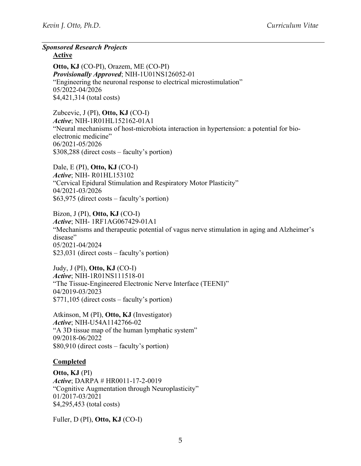*Sponsored Research Projects* 

**Active** 

**Otto, KJ** (CO-PI), Orazem, ME (CO-PI) *Provisionally Approved*; NIH-1U01NS126052-01 "Engineering the neuronal response to electrical microstimulation" 05/2022-04/2026 \$4,421,314 (total costs)

Zubcevic, J (PI), **Otto, KJ** (CO-I) *Active*; NIH-1R01HL152162-01A1 "Neural mechanisms of host-microbiota interaction in hypertension: a potential for bioelectronic medicine" 06/2021-05/2026 \$308,288 (direct costs – faculty's portion)

Dale, E (PI), **Otto, KJ** (CO-I) *Active*; NIH- R01HL153102 "Cervical Epidural Stimulation and Respiratory Motor Plasticity" 04/2021-03/2026 \$63,975 (direct costs – faculty's portion)

Bizon, J (PI), **Otto, KJ** (CO-I) *Active*; NIH- 1RF1AG067429-01A1 "Mechanisms and therapeutic potential of vagus nerve stimulation in aging and Alzheimer's disease" 05/2021-04/2024 \$23,031 (direct costs – faculty's portion)

Judy, J (PI), **Otto, KJ** (CO-I) *Active*; NIH-1R01NS111518-01 "The Tissue-Engineered Electronic Nerve Interface (TEENI)" 04/2019-03/2023 \$771,105 (direct costs – faculty's portion)

Atkinson, M (PI), **Otto, KJ** (Investigator) *Active*; NIH-U54A1142766-02 "A 3D tissue map of the human lymphatic system" 09/2018-06/2022 \$80,910 (direct costs – faculty's portion)

# **Completed**

**Otto, KJ** (PI) *Active*; DARPA # HR0011-17-2-0019 "Cognitive Augmentation through Neuroplasticity" 01/2017-03/2021 \$4,295,453 (total costs)

Fuller, D (PI), **Otto, KJ** (CO-I)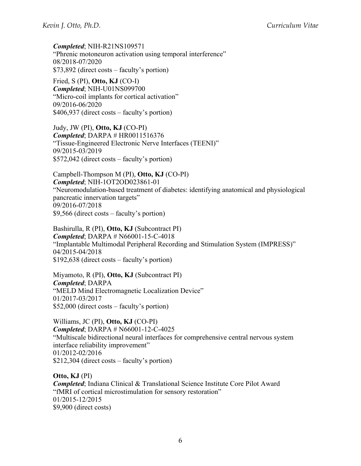*Completed*; NIH-R21NS109571 "Phrenic motoneuron activation using temporal interference" 08/2018-07/2020 \$73,892 (direct costs – faculty's portion)

Fried, S (PI), **Otto, KJ** (CO-I) *Completed*; NIH-U01NS099700 "Micro-coil implants for cortical activation" 09/2016-06/2020 \$406,937 (direct costs – faculty's portion)

Judy, JW (PI), **Otto, KJ** (CO-PI) *Completed*; DARPA # HR0011516376 "Tissue-Engineered Electronic Nerve Interfaces (TEENI)" 09/2015-03/2019 \$572,042 (direct costs – faculty's portion)

Campbell-Thompson M (PI), **Otto, KJ** (CO-PI) *Completed*; NIH-1OT2OD023861-01 "Neuromodulation-based treatment of diabetes: identifying anatomical and physiological pancreatic innervation targets" 09/2016-07/2018 \$9,566 (direct costs – faculty's portion)

Bashirulla, R (PI), **Otto, KJ** (Subcontract PI) *Completed*; DARPA # N66001-15-C-4018 "Implantable Multimodal Peripheral Recording and Stimulation System (IMPRESS)" 04/2015-04/2018 \$192,638 (direct costs – faculty's portion)

Miyamoto, R (PI), **Otto, KJ** (Subcontract PI) *Completed*; DARPA "MELD Mind Electromagnetic Localization Device" 01/2017-03/2017 \$52,000 (direct costs – faculty's portion)

Williams, JC (PI), **Otto, KJ** (CO-PI) *Completed*; DARPA # N66001-12-C-4025 "Multiscale bidirectional neural interfaces for comprehensive central nervous system interface reliability improvement" 01/2012-02/2016 \$212,304 (direct costs – faculty's portion)

**Otto, KJ** (PI) *Completed*; Indiana Clinical & Translational Science Institute Core Pilot Award "fMRI of cortical microstimulation for sensory restoration" 01/2015-12/2015 \$9,900 (direct costs)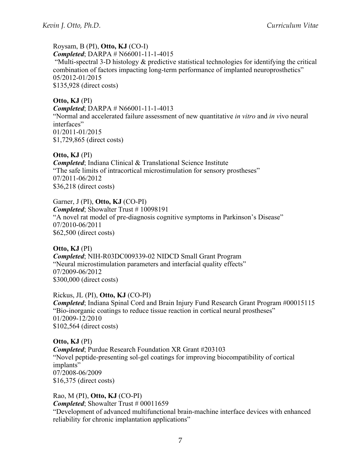# Roysam, B (PI), **Otto, KJ** (CO-I)

*Completed*; DARPA # N66001-11-1-4015

 "Multi-spectral 3-D histology & predictive statistical technologies for identifying the critical combination of factors impacting long-term performance of implanted neuroprosthetics" 05/2012-01/2015 \$135,928 (direct costs)

# **Otto, KJ** (PI)

*Completed*; DARPA # N66001-11-1-4013

"Normal and accelerated failure assessment of new quantitative *in vitro* and *in v*ivo neural interfaces" 01/2011-01/2015 \$1,729,865 (direct costs)

# **Otto, KJ** (PI)

*Completed*; Indiana Clinical & Translational Science Institute "The safe limits of intracortical microstimulation for sensory prostheses" 07/2011-06/2012 \$36,218 (direct costs)

Garner, J (PI), **Otto, KJ** (CO-PI) *Completed*; Showalter Trust # 10098191 "A novel rat model of pre-diagnosis cognitive symptoms in Parkinson's Disease" 07/2010-06/2011 \$62,500 (direct costs)

**Otto, KJ** (PI) *Completed*; NIH-R03DC009339-02 NIDCD Small Grant Program "Neural microstimulation parameters and interfacial quality effects" 07/2009-06/2012 \$300,000 (direct costs)

Rickus, JL (PI), **Otto, KJ** (CO-PI) *Completed*; Indiana Spinal Cord and Brain Injury Fund Research Grant Program #00015115 "Bio-inorganic coatings to reduce tissue reaction in cortical neural prostheses" 01/2009-12/2010 \$102,564 (direct costs)

**Otto, KJ** (PI) *Completed*; Purdue Research Foundation XR Grant #203103 "Novel peptide-presenting sol-gel coatings for improving biocompatibility of cortical implants" 07/2008-06/2009 \$16,375 (direct costs)

Rao, M (PI), **Otto, KJ** (CO-PI) *Completed*; Showalter Trust # 00011659 "Development of advanced multifunctional brain-machine interface devices with enhanced reliability for chronic implantation applications"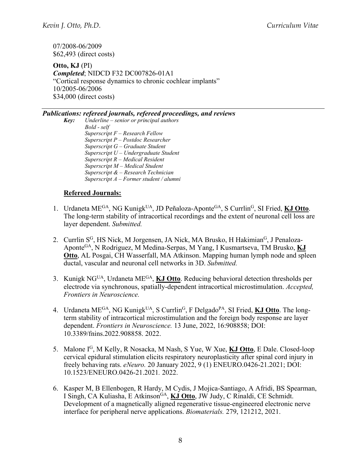07/2008-06/2009 \$62,493 (direct costs)

**Otto, KJ** (PI) *Completed*; NIDCD F32 DC007826-01A1 "Cortical response dynamics to chronic cochlear implants" 10/2005-06/2006 \$34,000 (direct costs)

#### *Publications: refereed journals, refereed proceedings, and reviews*

*Key: Underline – senior or principal authors Bold - self Superscript F – Research Fellow Superscript P – Postdoc Researcher Superscript G – Graduate Student Superscript U – Undergraduate Student Superscript R – Medical Resident Superscript M – Medical Student Superscript & – Research Technician Superscript A – Former student / alumni* 

# **Refereed Journals:**

- 1. Urdaneta MEGA, NG KunigkUA, JD Peñaloza-AponteGA, S CurrlinG, SI Fried, **KJ Otto**. The long-term stability of intracortical recordings and the extent of neuronal cell loss are layer dependent. *Submitted.*
- 2. Currlin S<sup>G</sup>, HS Nick, M Jorgensen, JA Nick, MA Brusko, H Hakimian<sup>G</sup>, J Penaloza-AponteGA, N Rodriguez, M Medina-Serpas, M Yang, I Kusmartseva, TM Brusko, **KJ Otto**, AL Posgai, CH Wasserfall, MA Atkinson. Mapping human lymph node and spleen ductal, vascular and neuronal cell networks in 3D. *Submitted.*
- 3. Kunigk NGUA, Urdaneta MEGA, **KJ Otto**. Reducing behavioral detection thresholds per electrode via synchronous, spatially-dependent intracortical microstimulation. *Accepted, Frontiers in Neuroscience.*
- 4. Urdaneta ME<sup>GA</sup>, NG Kunigk<sup>UA</sup>, S Currlin<sup>G</sup>, F Delgado<sup>PA</sup>, SI Fried, **KJ Otto**. The longterm stability of intracortical microstimulation and the foreign body response are layer dependent. *Frontiers in Neuroscience.* 13 June, 2022, 16:908858; DOI: 10.3389/fnins.2022.908858. 2022.
- 5. Malone IG, M Kelly, R Nosacka, M Nash, S Yue, W Xue, **KJ Otto**, E Dale. Closed-loop cervical epidural stimulation elicits respiratory neuroplasticity after spinal cord injury in freely behaving rats. *eNeuro.* 20 January 2022, 9 (1) ENEURO.0426-21.2021; DOI: 10.1523/ENEURO.0426-21.2021*.* 2022.
- 6. Kasper M, B Ellenbogen, R Hardy, M Cydis, J Mojica-Santiago, A Afridi, BS Spearman, I Singh, CA Kuliasha, E AtkinsonGA, **KJ Otto**, JW Judy, C Rinaldi, CE Schmidt. Development of a magnetically aligned regenerative tissue-engineered electronic nerve interface for peripheral nerve applications. *Biomaterials.* 279, 121212, 2021.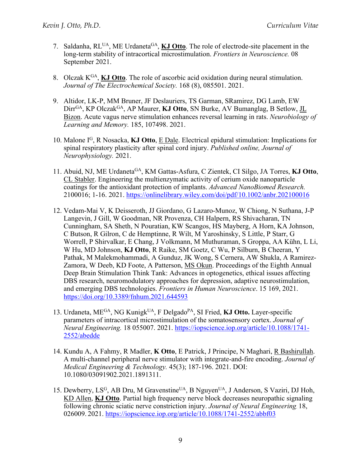- 7. Saldanha, RLUA, ME UrdanetaGA, **KJ Otto**. The role of electrode-site placement in the long-term stability of intracortical microstimulation. *Frontiers in Neuroscience.* 08 September 2021.
- 8. Olczak KGA, **KJ Otto**. The role of ascorbic acid oxidation during neural stimulation. *Journal of The Electrochemical Society.* 168 (8), 085501. 2021.
- 9. Altidor, LK-P, MM Bruner, JF Deslauriers, TS Garman, SRamirez, DG Lamb, EW DirrGA, KP OlczakGA, AP Maurer, **KJ Otto**, SN Burke, AV Bumanglag, B Setlow, JL Bizon. Acute vagus nerve stimulation enhances reversal learning in rats. *Neurobiology of Learning and Memory.* 185, 107498. 2021.
- 10. Malone IG, R Nosacka, **KJ Otto**, E Dale. Electrical epidural stimulation: Implications for spinal respiratory plasticity after spinal cord injury. *Published online, Journal of Neurophysiology.* 2021.
- 11. Abuid, NJ, ME UrdanetaGA, KM Gattas-Asfura, C Zientek, CI Silgo, JA Torres, **KJ Otto**, CL Stabler. Engineering the multienzymatic activity of cerium oxide nanoparticle coatings for the antioxidant protection of implants. *Advanced NanoBiomed Research.*  2100016; 1-16. 2021. https://onlinelibrary.wiley.com/doi/pdf/10.1002/anbr.202100016
- 12. Vedam-Mai V, K Deisseroth, JJ Giordano, G Lazaro-Munoz, W Chiong, N Suthana, J-P Langevin, J Gill, W Goodman, NR Provenza, CH Halpern, RS Shivacharan, TN Cunningham, SA Sheth, N Pouratian, KW Scangos, HS Mayberg, A Horn, KA Johnson, C Butson, R Gilron, C de Hemptinne, R Wilt, M Yaroshinsky, S Little, P Starr, G Worrell, P Shirvalkar, E Chang, J Volkmann, M Muthuraman, S Groppa, AA Kühn, L Li, W Hu, MD Johnson, **KJ Otto**, R Raike, SM Goetz, C Wu, P Silburn, B Cheeran, Y Pathak, M Malekmohammadi, A Gunduz, JK Wong, S Cernera, AW Shukla, A Ramirez-Zamora, W Deeb, KD Foote, A Patterson, MS Okun. Proceedings of the Eighth Annual Deep Brain Stimulation Think Tank: Advances in optogenetics, ethical issues affecting DBS research, neuromodulatory approaches for depression, adaptive neurostimulation, and emerging DBS technologies. *Frontiers in Human Neuroscience*. 15 169, 2021. https://doi.org/10.3389/fnhum.2021.644593
- 13. Urdaneta, MEGA, NG KunigkUA, F DelgadoPA, SI Fried, **KJ Otto.** Layer-specific parameters of intracortical microstimulation of the somatosensory cortex. *Journal of Neural Engineering.* 18 055007. 2021. https://iopscience.iop.org/article/10.1088/1741- 2552/abedde
- 14. Kundu A, A Fahmy, R Madler, **K Otto**, E Patrick, J Principe, N Maghari, R Bashirullah. A multi-channel peripheral nerve stimulator with integrate-and-fire encoding. *Journal of Medical Engineering & Technology.* 45(3); 187-196. 2021. DOI: 10.1080/03091902.2021.1891311.
- 15. Dewberry, LS<sup>G</sup>, AB Dru, M Gravenstine<sup>UA</sup>, B Nguyen<sup>UA</sup>, J Anderson, S Vaziri, DJ Hoh, KD Allen, **KJ Otto**. Partial high frequency nerve block decreases neuropathic signaling following chronic sciatic nerve constriction injury. *Journal of Neural Engineering.* 18, 026009. 2021. https://iopscience.iop.org/article/10.1088/1741-2552/abbf03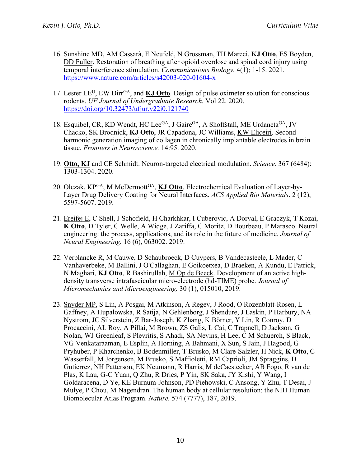- 16. Sunshine MD, AM Cassarà, E Neufeld, N Grossman, TH Mareci, **KJ Otto**, ES Boyden, DD Fuller. Restoration of breathing after opioid overdose and spinal cord injury using temporal interference stimulation. *Communications Biology.* 4(1); 1-15. 2021. https://www.nature.com/articles/s42003-020-01604-x
- 17. Lester LE<sup>U</sup>, EW Dirr<sup>GA</sup>, and **KJ Otto**. Design of pulse oximeter solution for conscious rodents. *UF Journal of Undergraduate Research.* Vol 22. 2020. https://doi.org/10.32473/ufjur.v22i0.121740
- 18. Esquibel, CR, KD Wendt, HC Lee<sup>GA</sup>, J Gaire<sup>GA</sup>, A Shoffstall, ME Urdaneta<sup>GA</sup>, JV Chacko, SK Brodnick, **KJ Otto**, JR Capadona, JC Williams, KW Eliceiri. Second harmonic generation imaging of collagen in chronically implantable electrodes in brain tissue. *Frontiers in Neuroscience.* 14:95. 2020.
- 19. **Otto, KJ** and CE Schmidt. Neuron-targeted electrical modulation. *Science*. 367 (6484): 1303-1304. 2020.
- 20. Olczak, KPGA, M McDermottGA, **KJ Otto**. Electrochemical Evaluation of Layer-by-Layer Drug Delivery Coating for Neural Interfaces. *ACS Applied Bio Materials*. 2 (12), 5597-5607. 2019.
- 21. Ereifej E, C Shell, J Schofield, H Charkhkar, I Cuberovic, A Dorval, E Graczyk, T Kozai, **K Otto**, D Tyler, C Welle, A Widge, J Zariffa, C Moritz, D Bourbeau, P Marasco. Neural engineering: the process, applications, and its role in the future of medicine. *Journal of Neural Engineering.* 16 (6), 063002. 2019.
- 22. Verplancke R, M Cauwe, D Schaubroeck, D Cuypers, B Vandecasteele, L Mader, C Vanhaverbeke, M Ballini, J O'Callaghan, E Goikoetxea, D Braeken, A Kundu, E Patrick, N Maghari, **KJ Otto**, R Bashirullah, M Op de Beeck. Development of an active highdensity transverse intrafascicular micro-electrode (hd-TIME) probe. *Journal of Micromechanics and Microengineering.* 30 (1), 015010, 2019.
- 23. Snyder MP, S Lin, A Posgai, M Atkinson, A Regev, J Rood, O Rozenblatt-Rosen, L Gaffney, A Hupalowska, R Satija, N Gehlenborg, J Shendure, J Laskin, P Harbury, NA Nystrom, JC Silverstein, Z Bar-Joseph, K Zhang, K Börner, Y Lin, R Conroy, D Procaccini, AL Roy, A Pillai, M Brown, ZS Galis, L Cai, C Trapnell, D Jackson, G Nolan, WJ Greenleaf, S Plevritis, S Ahadi, SA Nevins, H Lee, C M Schuerch, S Black, VG Venkataraaman, E Esplin, A Horning, A Bahmani, X Sun, S Jain, J Hagood, G Pryhuber, P Kharchenko, B Bodenmiller, T Brusko, M Clare-Salzler, H Nick, **K Otto**, C Wasserfall, M Jorgensen, M Brusko, S Maffioletti, RM Caprioli, JM Spraggins, D Gutierrez, NH Patterson, EK Neumann, R Harris, M deCaestecker, AB Fogo, R van de Plas, K Lau, G-C Yuan, Q Zhu, R Dries, P Yin, SK Saka, JY Kishi, Y Wang, I Goldaracena, D Ye, KE Burnum-Johnson, PD Piehowski, C Ansong, Y Zhu, T Desai, J Mulye, P Chou, M Nagendran. The human body at cellular resolution: the NIH Human Biomolecular Atlas Program. *Nature.* 574 (7777), 187, 2019.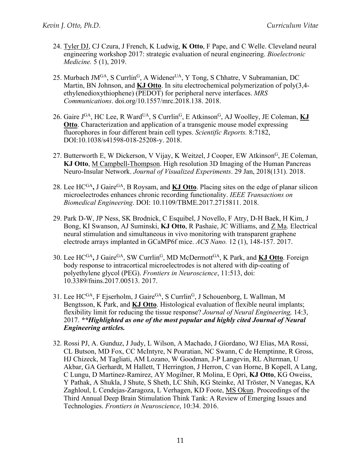- 24. Tyler DJ, CJ Czura, J French, K Ludwig, **K Otto**, F Pape, and C Welle. Cleveland neural engineering workshop 2017: strategic evaluation of neural engineering. *Bioelectronic Medicine.* 5 (1), 2019.
- 25. Murbach JM<sup>GA</sup>, S Currlin<sup>G</sup>, A Widener<sup>UA</sup>, Y Tong, S Chhatre, V Subramanian, DC Martin, BN Johnson, and **KJ Otto**. In situ electrochemical polymerization of poly(3,4 ethylenedioxythiophene) (PEDOT) for peripheral nerve interfaces. *MRS Communications*. doi.org/10.1557/mrc.2018.138. 2018.
- 26. Gaire J<sup>GA</sup>, HC Lee, R Ward<sup>UA</sup>, S Currlin<sup>G</sup>, E Atkinson<sup>G</sup>, AJ Woolley, JE Coleman, **KJ Otto**. Characterization and application of a transgenic mouse model expressing fluorophores in four different brain cell types. *Scientific Reports.* 8:7182, DOI:10.1038/s41598-018-25208-y. 2018.
- 27. Butterworth E, W Dickerson, V Vijay, K Weitzel, J Cooper, EW Atkinson<sup>G</sup>, JE Coleman, **KJ Otto**, M Campbell-Thompson. High resolution 3D Imaging of the Human Pancreas Neuro-Insular Network. *Journal of Visualized Experiments*. 29 Jan, 2018(131). 2018.
- 28. Lee HC<sup>GA</sup>, J Gaire<sup>GA</sup>, B Roysam, and **KJ Otto**. Placing sites on the edge of planar silicon microelectrodes enhances chronic recording functionality. *IEEE Transactions on Biomedical Engineering*. DOI: 10.1109/TBME.2017.2715811. 2018.
- 29. Park D-W, JP Ness, SK Brodnick, C Esquibel, J Novello, F Atry, D-H Baek, H Kim, J Bong, KI Swanson, AJ Suminski, **KJ Otto**, R Pashaie, JC Williams, and Z Ma. Electrical neural stimulation and simultaneous in vivo monitoring with transparent graphene electrode arrays implanted in GCaMP6f mice. *ACS Nano.* 12 (1), 148-157. 2017.
- 30. Lee HCGA**,** J GaireGA, SW CurrlinG, MD McDermottGA, K Park, and **KJ Otto**. Foreign body response to intracortical microelectrodes is not altered with dip-coating of polyethylene glycol (PEG). *Frontiers in Neuroscience*, 11:513, doi: 10.3389/fnins.2017.00513. 2017.
- 31. Lee HC<sup>GA</sup>, F Ejserholm, J Gaire<sup>GA</sup>, S Currlin<sup>G</sup>, J Schouenborg, L Wallman, M Bengtsson, K Park, and **KJ Otto**. Histological evaluation of flexible neural implants; flexibility limit for reducing the tissue response? *Journal of Neural Engineering,* 14:3, 2017. *\*\*Highlighted as one of the most popular and highly cited Journal of Neural Engineering articles.*
- 32. Rossi PJ, A. Gunduz, J Judy, L Wilson, A Machado, J Giordano, WJ Elias, MA Rossi, CL Butson, MD Fox, CC McIntyre, N Pouratian, NC Swann, C de Hemptinne, R Gross, HJ Chizeck, M Tagliati, AM Lozano, W Goodman, J-P Langevin, RL Alterman, U Akbar, GA Gerhardt, M Hallett, T Herrington, J Herron, C van Horne, B Kopell, A Lang, C Lungu, D Martinez-Ramirez, AY Mogilner, R Molina, E Opri, **KJ Otto**, KG Oweiss, Y Pathak, A Shukla, J Shute, S Sheth, LC Shih, KG Steinke, AI Tröster, N Vanegas, KA Zaghloul, L Cendejas-Zaragoza, L Verhagen, KD Foote, MS Okun. Proceedings of the Third Annual Deep Brain Stimulation Think Tank: A Review of Emerging Issues and Technologies. *Frontiers in Neuroscience*, 10:34. 2016.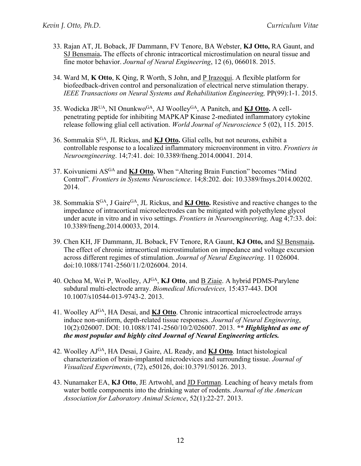- 33. Rajan AT, JL Boback, JF Dammann, FV Tenore, BA Webster, **KJ Otto,** RA Gaunt, and SJ Bensmaia**.** The effects of chronic intracortical microstimulation on neural tissue and fine motor behavior. *Journal of Neural Engineering*, 12 (6), 066018. 2015.
- 34. Ward M, **K Otto**, K Qing, R Worth, S John, and P Irazoqui. A flexible platform for biofeedback-driven control and personalization of electrical nerve stimulation therapy. *IEEE Transactions on Neural Systems and Rehabilitation Engineering,* PP(99):1-1. 2015.
- 35. Wodicka JRUA, NI OnunkwoGA, AJ WoolleyGA, A Panitch, and **KJ Otto.** A cellpenetrating peptide for inhibiting MAPKAP Kinase 2-mediated inflammatory cytokine release following glial cell activation. *World Journal of Neuroscience* 5 (02), 115. 2015.
- 36. Sommakia SGA, JL Rickus, and **KJ Otto.** Glial cells, but not neurons, exhibit a controllable response to a localized inflammatory microenvironment in vitro. *Frontiers in Neuroengineering*. 14;7:41. doi: 10.3389/fneng.2014.00041. 2014.
- 37. Koivuniemi ASGA and **KJ Otto.** When "Altering Brain Function" becomes "Mind Control". *Frontiers in Systems Neuroscience*. 14;8:202. doi: 10.3389/fnsys.2014.00202. 2014.
- 38. Sommakia SGA, J GaireGA, JL Rickus, and **KJ Otto.** Resistive and reactive changes to the impedance of intracortical microelectrodes can be mitigated with polyethylene glycol under acute in vitro and in vivo settings. *Frontiers in Neuroengineering,* Aug 4;7:33. doi: 10.3389/fneng.2014.00033, 2014.
- 39. Chen KH, JF Dammann, JL Boback, FV Tenore, RA Gaunt, **KJ Otto,** and SJ Bensmaia**.**  The effect of chronic intracortical microstimulation on impedance and voltage excursion across different regimes of stimulation. *Journal of Neural Engineering*. 11 026004. doi:10.1088/1741-2560/11/2/026004. 2014.
- 40. Ochoa M, Wei P, Woolley, AJGA, **KJ Otto**, and B Ziaie. A hybrid PDMS-Parylene subdural multi-electrode array. *Biomedical Microdevices,* 15:437-443. DOI 10.1007/s10544-013-9743-2. 2013.
- 41. Woolley AJGA, HA Desai, and **KJ Otto**. Chronic intracortical microelectrode arrays induce non-uniform, depth-related tissue responses. *Journal of Neural Engineering*, 10(2):026007. DOI: 10.1088/1741-2560/10/2/026007. 2013. *\*\* Highlighted as one of the most popular and highly cited Journal of Neural Engineering articles.*
- 42. Woolley AJGA, HA Desai, J Gaire, AL Ready, and **KJ Otto**. Intact histological characterization of brain-implanted microdevices and surrounding tissue. *Journal of Visualized Experiments*, (72), e50126, doi:10.3791/50126. 2013.
- 43. Nunamaker EA, **KJ Otto**, JE Artwohl, and JD Fortman. Leaching of heavy metals from water bottle components into the drinking water of rodents. *Journal of the American Association for Laboratory Animal Science*, 52(1):22-27. 2013.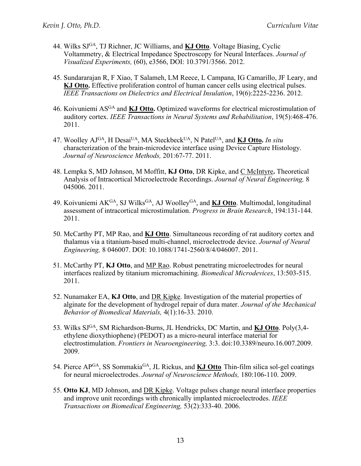- 44. Wilks SJGA, TJ Richner, JC Williams, and **KJ Otto**. Voltage Biasing, Cyclic Voltammetry, & Electrical Impedance Spectroscopy for Neural Interfaces. *Journal of Visualized Experiments,* (60), e3566, DOI: 10.3791/3566. 2012.
- 45. Sundararajan R, F Xiao, T Salameh, LM Reece, L Campana, IG Camarillo, JF Leary, and **KJ Otto.** Effective proliferation control of human cancer cells using electrical pulses. *IEEE Transactions on Dielectrics and Electrical Insulation*, 19(6):2225-2236. 2012.
- 46. Koivuniemi ASGA and **KJ Otto.** Optimized waveforms for electrical microstimulation of auditory cortex. *IEEE Transactions in Neural Systems and Rehabilitation*, 19(5):468-476. 2011.
- 47. Woolley AJGA, H DesaiUA, MA SteckbeckUA, N PatelUA, and **KJ Otto.** *In situ* characterization of the brain-microdevice interface using Device Capture Histology. *Journal of Neuroscience Methods,* 201:67-77. 2011.
- 48. Lempka S, MD Johnson, M Moffitt, **KJ Otto**, DR Kipke, and C McIntyre**.** Theoretical Analysis of Intracortical Microelectrode Recordings. *Journal of Neural Engineering,* 8 045006. 2011.
- 49. Koivuniemi AK<sup>GA</sup>, SJ Wilks<sup>GA</sup>, AJ Woolley<sup>GA</sup>, and **KJ Otto**. Multimodal, longitudinal assessment of intracortical microstimulation. *Progress in Brain Research*, 194:131-144. 2011.
- 50. McCarthy PT, MP Rao, and **KJ Otto**. Simultaneous recording of rat auditory cortex and thalamus via a titanium-based multi-channel, microelectrode device. *Journal of Neural Engineering,* 8 046007. DOI: 10.1088/1741-2560/8/4/046007. 2011.
- 51. McCarthy PT, **KJ Otto**, and MP Rao. Robust penetrating microelectrodes for neural interfaces realized by titanium micromachining. *Biomedical Microdevices*, 13:503-515. 2011.
- 52. Nunamaker EA, **KJ Otto**, and DR Kipke. Investigation of the material properties of alginate for the development of hydrogel repair of dura mater. *Journal of the Mechanical Behavior of Biomedical Materials,* 4(1):16-33. 2010.
- 53. Wilks SJGA, SM Richardson-Burns, JL Hendricks, DC Martin, and **KJ Otto**. Poly(3,4 ethylene dioxythiophene) (PEDOT) as a micro-neural interface material for electrostimulation. *Frontiers in Neuroengineering,* 3:3. doi:10.3389/neuro.16.007.2009. 2009.
- 54. Pierce APGA, SS SommakiaGA, JL Rickus, and **KJ Otto**. Thin-film silica sol-gel coatings for neural microelectrodes. *Journal of Neuroscience Methods,* 180:106-110. 2009.
- 55. **Otto KJ**, MD Johnson, and DR Kipke. Voltage pulses change neural interface properties and improve unit recordings with chronically implanted microelectrodes. *IEEE Transactions on Biomedical Engineering,* 53(2):333-40. 2006.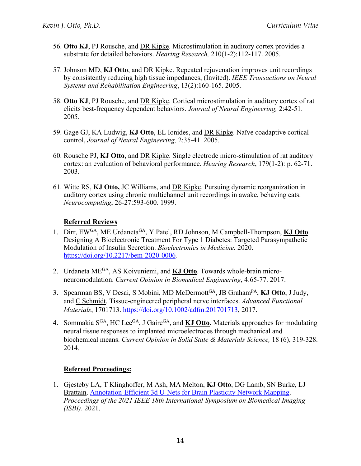- 56. **Otto KJ**, PJ Rousche, and DR Kipke. Microstimulation in auditory cortex provides a substrate for detailed behaviors. *Hearing Research,* 210(1-2):112-117. 2005.
- 57. Johnson MD, **KJ Otto**, and DR Kipke. Repeated rejuvenation improves unit recordings by consistently reducing high tissue impedances, (Invited). *IEEE Transactions on Neural Systems and Rehabilitation Engineering*, 13(2):160-165. 2005.
- 58. **Otto KJ**, PJ Rousche, and DR Kipke. Cortical microstimulation in auditory cortex of rat elicits best-frequency dependent behaviors. *Journal of Neural Engineering,* 2:42-51. 2005.
- 59. Gage GJ, KA Ludwig, **KJ Otto**, EL Ionides, and DR Kipke. Naïve coadaptive cortical control, *Journal of Neural Engineering,* 2:35-41. 2005.
- 60. Rousche PJ, **KJ Otto**, and DR Kipke. Single electrode micro-stimulation of rat auditory cortex: an evaluation of behavioral performance. *Hearing Research*, 179(1-2): p. 62-71. 2003.
- 61. Witte RS, **KJ Otto,** JC Williams, and DR Kipke. Pursuing dynamic reorganization in auditory cortex using chronic multichannel unit recordings in awake, behaving cats. *Neurocomputing*, 26-27:593-600. 1999.

# **Referred Reviews**

- 1. Dirr, EWGA, ME UrdanetaGA, Y Patel, RD Johnson, M Campbell-Thompson, **KJ Otto**. Designing A Bioelectronic Treatment For Type 1 Diabetes: Targeted Parasympathetic Modulation of Insulin Secretion. *Bioelectronics in Medicine.* 2020. https://doi.org/10.2217/bem-2020-0006*.*
- 2. Urdaneta MEGA, AS Koivuniemi, and **KJ Otto**. Towards whole-brain microneuromodulation. *Current Opinion in Biomedical Engineering*, 4:65-77. 2017.
- 3. Spearman BS, V Desai, S Mobini, MD McDermottGA, JB GrahamPA, **KJ Otto**, J Judy, and C Schmidt. Tissue-engineered peripheral nerve interfaces. *Advanced Functional Materials*, 1701713. https://doi.org/10.1002/adfm.201701713, 2017.
- 4. Sommakia SGA, HC LeeGA, J GaireGA, and **KJ Otto.** Materials approaches for modulating neural tissue responses to implanted microelectrodes through mechanical and biochemical means. *Current Opinion in Solid State & Materials Science,* 18 (6), 319-328. 2014*.*

# **Refereed Proceedings:**

1. Gjesteby LA, T Klinghoffer, M Ash, MA Melton, **KJ Otto**, DG Lamb, SN Burke, LJ Brattain. Annotation-Efficient 3d U-Nets for Brain Plasticity Network Mapping. *Proceedings of the 2021 IEEE 18th International Symposium on Biomedical Imaging (ISBI)*. 2021.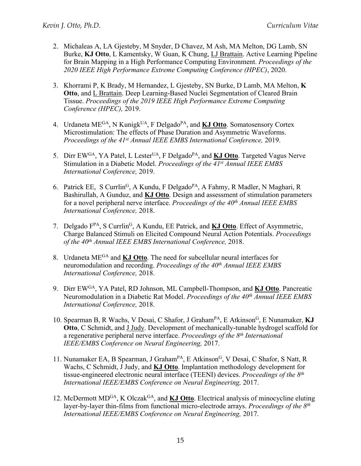- 2. Michaleas A, LA Gjesteby, M Snyder, D Chavez, M Ash, MA Melton, DG Lamb, SN Burke, **KJ Otto**, L Kamentsky, W Guan, K Chung, LJ Brattain. Active Learning Pipeline for Brain Mapping in a High Performance Computing Environment. *Proceedings of the 2020 IEEE High Performance Extreme Computing Conference (HPEC)*, 2020.
- 3. Khorrami P, K Brady, M Hernandez, L Gjesteby, SN Burke, D Lamb, MA Melton, **K Otto**, and L Brattain. Deep Learning-Based Nuclei Segmentation of Cleared Brain Tissue. *Proceedings of the 2019 IEEE High Performance Extreme Computing Conference (HPEC),* 2019.
- 4. Urdaneta MEGA, N KunigkUA, F DelgadoPA, and **KJ Otto**. Somatosensory Cortex Microstimulation: The effects of Phase Duration and Asymmetric Waveforms. *Proceedings of the 41st Annual IEEE EMBS International Conference,* 2019.
- 5. Dirr EWGA, YA Patel, L LesterUA, F DelgadoPA, and **KJ Otto**. Targeted Vagus Nerve Stimulation in a Diabetic Model. *Proceedings of the 41st Annual IEEE EMBS International Conference,* 2019.
- 6. Patrick EE, S Currlin<sup>G</sup>, A Kundu, F Delgado<sup>PA</sup>, A Fahmy, R Madler, N Maghari, R Bashirullah, A Gunduz, and **KJ Otto**. Design and assessment of stimulation parameters for a novel peripheral nerve interface. *Proceedings of the 40th Annual IEEE EMBS International Conference,* 2018.
- 7. Delgado FPA, S CurrlinG, A Kundu, EE Patrick, and **KJ Otto**. Effect of Asymmetric, Charge Balanced Stimuli on Elicited Compound Neural Action Potentials. *Proceedings of the 40th Annual IEEE EMBS International Conference,* 2018.
- 8. Urdaneta MEGA and **KJ Otto**. The need for subcellular neural interfaces for neuromodulation and recording. *Proceedings of the 40th Annual IEEE EMBS International Conference,* 2018.
- 9. Dirr EWGA, YA Patel, RD Johnson, ML Campbell-Thompson, and **KJ Otto**. Pancreatic Neuromodulation in a Diabetic Rat Model. *Proceedings of the 40th Annual IEEE EMBS International Conference,* 2018.
- 10. Spearman B, R Wachs, V Desai, C Shafor, J Graham<sup>PA</sup>, E Atkinson<sup>G</sup>, E Nunamaker, **KJ Otto**, C Schmidt, and J Judy. Development of mechanically-tunable hydrogel scaffold for a regenerative peripheral nerve interface. *Proceedings of the 8th International IEEE/EMBS Conference on Neural Engineering,* 2017.
- 11. Nunamaker EA, B Spearman, J Graham<sup>PA</sup>, E Atkinson<sup>G</sup>, V Desai, C Shafor, S Natt, R Wachs, C Schmidt, J Judy, and **KJ Otto**. Implantation methodology development for tissue-engineered electronic neural interface (TEENI) devices. *Proceedings of the 8th International IEEE/EMBS Conference on Neural Engineering,* 2017.
- 12. McDermott MD<sup>GA</sup>, K Olczak<sup>GA</sup>, and **KJ Otto**. Electrical analysis of minocycline eluting layer-by-layer thin-films from functional micro-electrode arrays. *Proceedings of the 8th International IEEE/EMBS Conference on Neural Engineering,* 2017.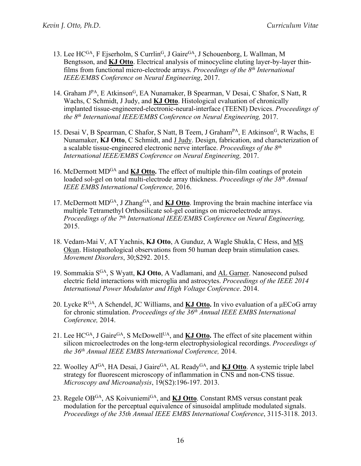- 13. Lee  $HC^{GA}$ , F Ejserholm, S Currlin<sup>G</sup>, J Gaire<sup>GA</sup>, J Schouenborg, L Wallman, M Bengtsson, and **KJ Otto**. Electrical analysis of minocycline eluting layer-by-layer thinfilms from functional micro-electrode arrays. *Proceedings of the 8th International IEEE/EMBS Conference on Neural Engineering*, 2017.
- 14. Graham J<sup>PA</sup>, E Atkinson<sup>G</sup>, EA Nunamaker, B Spearman, V Desai, C Shafor, S Natt, R Wachs, C Schmidt, J Judy, and **KJ Otto**. Histological evaluation of chronically implanted tissue-engineered-electronic-neural-interface (TEENI) Devices. *Proceedings of the 8th International IEEE/EMBS Conference on Neural Engineering,* 2017.
- 15. Desai V, B Spearman, C Shafor, S Natt, B Teem, J Graham<sup>PA</sup>, E Atkinson<sup>G</sup>, R Wachs, E Nunamaker, **KJ Otto**, C Schmidt, and J Judy. Design, fabrication, and characterization of a scalable tissue-engineered electronic nerve interface. *Proceedings of the 8th International IEEE/EMBS Conference on Neural Engineering,* 2017.
- 16. McDermott MDGA and **KJ Otto.** The effect of multiple thin-film coatings of protein loaded sol-gel on total multi-electrode array thickness. *Proceedings of the 38th Annual IEEE EMBS International Conference,* 2016.
- 17. McDermott MD<sup>GA</sup>, J Zhang<sup>GA</sup>, and **KJ Otto**. Improving the brain machine interface via multiple Tetramethyl Orthosilicate sol-gel coatings on microelectrode arrays. *Proceedings of the 7th International IEEE/EMBS Conference on Neural Engineering,*  2015.
- 18. Vedam-Mai V, AT Yachnis, **KJ Otto**, A Gunduz, A Wagle Shukla, C Hess, and MS Okun. Histopathological observations from 50 human deep brain stimulation cases. *Movement Disorders*, 30;S292. 2015.
- 19. Sommakia SGA, S Wyatt, **KJ Otto**, A Vadlamani, and AL Garner. Nanosecond pulsed electric field interactions with microglia and astrocytes. *Proceedings of the IEEE 2014 International Power Modulator and High Voltage Conference*. 2014.
- 20. Lycke RGA, A Schendel, JC Williams, and **KJ Otto.** In vivo evaluation of a μECoG array for chronic stimulation. *Proceedings of the 36th Annual IEEE EMBS International Conference,* 2014.
- 21. Lee HC<sup>GA</sup>, J Gaire<sup>GA</sup>, S McDowell<sup>UA</sup>, and **KJ Otto.** The effect of site placement within silicon microelectrodes on the long-term electrophysiological recordings. *Proceedings of the 36th Annual IEEE EMBS International Conference,* 2014.
- 22. Woolley AJ<sup>GA</sup>, HA Desai, J Gaire<sup>GA</sup>, AL Ready<sup>GA</sup>, and **KJ Otto**. A systemic triple label strategy for fluorescent microscopy of inflammation in CNS and non-CNS tissue. *Microscopy and Microanalysis*, 19(S2):196-197. 2013.
- 23. Regele OBGA, AS KoivuniemiGA, and **KJ Otto**. Constant RMS versus constant peak modulation for the perceptual equivalence of sinusoidal amplitude modulated signals. *Proceedings of the 35th Annual IEEE EMBS International Conference*, 3115-3118. 2013.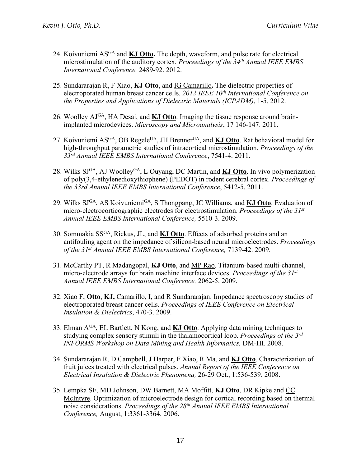- 24. Koivuniemi ASGA and **KJ Otto.** The depth, waveform, and pulse rate for electrical microstimulation of the auditory cortex. *Proceedings of the 34th Annual IEEE EMBS International Conference,* 2489-92. 2012.
- 25. Sundararajan R, F Xiao, **KJ Otto**, and IG Camarillo**.** The dielectric properties of electroporated human breast cancer cells. *2012 IEEE 10th International Conference on the Properties and Applications of Dielectric Materials (ICPADM)*, 1-5. 2012.
- 26. Woolley AJGA, HA Desai, and **KJ Otto**. Imaging the tissue response around brainimplanted microdevices. *Microscopy and Microanalysis*, 17 146-147. 2011.
- 27. Koivuniemi AS<sup>GA</sup>, OB Regele<sup>UA</sup>, JH Brenner<sup>UA</sup>, and **KJ Otto**. Rat behavioral model for high-throughput parametric studies of intracortical microstimulation. *Proceedings of the 33rd Annual IEEE EMBS International Conference*, 7541-4. 2011.
- 28. Wilks SJGA, AJ WoolleyGA, L Ouyang, DC Martin, and **KJ Otto**. In vivo polymerization of poly(3,4-ethylenedioxythiophene) (PEDOT) in rodent cerebral cortex. *Proceedings of the 33rd Annual IEEE EMBS International Conference*, 5412-5. 2011.
- 29. Wilks SJGA, AS KoivuniemiGA, S Thongpang, JC Williams, and **KJ Otto**. Evaluation of micro-electrocorticographic electrodes for electrostimulation. *Proceedings of the 31st Annual IEEE EMBS International Conference,* 5510-3. 2009.
- 30. Sommakia SSGA, Rickus, JL, and **KJ Otto**. Effects of adsorbed proteins and an antifouling agent on the impedance of silicon-based neural microelectrodes. *Proceedings of the 31st Annual IEEE EMBS International Conference,* 7139-42. 2009.
- 31. McCarthy PT, R Madangopal, **KJ Otto**, and MP Rao. Titanium-based multi-channel, micro-electrode arrays for brain machine interface devices. *Proceedings of the 31st Annual IEEE EMBS International Conference,* 2062-5. 2009.
- 32. Xiao F, **Otto**, **KJ,** Camarillo, I, and R Sundararajan. Impedance spectroscopy studies of electroporated breast cancer cells. *Proceedings of IEEE Conference on Electrical Insulation & Dielectrics*, 470-3. 2009.
- 33. Elman AUA, EL Bartlett, N Kong, and **KJ Otto**. Applying data mining techniques to studying complex sensory stimuli in the thalamocortical loop. *Proceedings of the 3rd INFORMS Workshop on Data Mining and Health Informatics,* DM-HI. 2008.
- 34. Sundararajan R, D Campbell, J Harper, F Xiao, R Ma, and **KJ Otto**. Characterization of fruit juices treated with electrical pulses. *Annual Report of the IEEE Conference on Electrical Insulation & Dielectric Phenomena,* 26-29 Oct., 1:536-539. 2008.
- 35. Lempka SF, MD Johnson, DW Barnett, MA Moffitt, **KJ Otto**, DR Kipke and CC McIntyre. Optimization of microelectrode design for cortical recording based on thermal noise considerations. *Proceedings of the 28th Annual IEEE EMBS International Conference,* August, 1:3361-3364. 2006.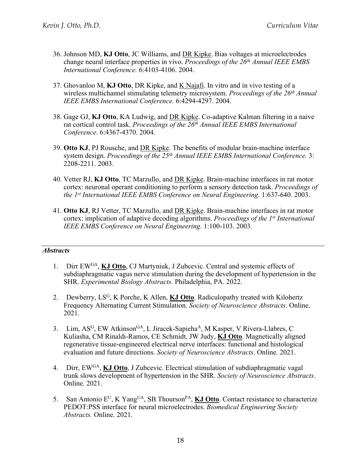- 36. Johnson MD, **KJ Otto**, JC Williams, and DR Kipke. Bias voltages at microelectrodes change neural interface properties in vivo. *Proceedings of the 26th Annual IEEE EMBS International Conference.* 6:4103-4106. 2004.
- 37. Ghovanloo M, **KJ Otto**, DR Kipke, and K Najafi. In vitro and in vivo testing of a wireless multichannel stimulating telemetry microsystem. *Proceedings of the 26th Annual IEEE EMBS International Conference.* 6:4294-4297. 2004.
- 38. Gage GJ, **KJ Otto**, KA Ludwig, and DR Kipke. Co-adaptive Kalman filtering in a naive rat cortical control task. *Proceedings of the 26th Annual IEEE EMBS International Conference*. 6:4367-4370. 2004.
- 39. **Otto KJ**, PJ Rousche, and DR Kipke. The benefits of modular brain-machine interface system design. *Proceedings of the 25th Annual IEEE EMBS International Conference.* 3: 2208-2211. 2003.
- 40. Vetter RJ, **KJ Otto**, TC Marzullo, and DR Kipke. Brain-machine interfaces in rat motor cortex: neuronal operant conditioning to perform a sensory detection task. *Proceedings of the 1st International IEEE EMBS Conference on Neural Engineering.* 1:637-640. 2003.
- 41. **Otto KJ**, RJ Vetter, TC Marzullo, and DR Kipke. Brain-machine interfaces in rat motor cortex: implication of adaptive decoding algorithms. *Proceedings of the 1st International IEEE EMBS Conference on Neural Engineering.* 1:100-103. 2003.

#### *Abstracts*

- 1. Dirr EWGA, **KJ Otto**, CJ Martyniuk, J Zubcevic. Central and systemic effects of subdiaphragmatic vagus nerve stimulation during the development of hypertension in the SHR. *Experimental Biology Abstracts.* Philadelphia, PA. 2022.
- 2. Dewberry, LSG, K Porche, K Allen, **KJ Otto**. Radiculopathy treated with Kilohertz Frequency Alternating Current Stimulation. *Society of Neuroscience Abstracts*. Online. 2021.
- 3. Lim, AS<sup>G</sup>, EW Atkinson<sup>GA</sup>, L Jiracek-Sapieha<sup>A</sup>, M Kasper, V Rivera-Llabres, C Kuliasha, CM Rinaldi-Ramos, CE Schmidt, JW Judy, **KJ Otto**. Magnetically aligned regenerative tissue-engineered electrical nerve interfaces: functional and histological evaluation and future directions. *Society of Neuroscience Abstracts*. Online. 2021.
- 4. Dirr, EWGA, **KJ Otto**, J Zubcevic. Electrical stimulation of subdiaphragmatic vagal trunk slows development of hypertension in the SHR. *Society of Neuroscience Abstracts*. Online. 2021.
- 5. San Antonio EU, K YangUA, SB ThoursonPA, **KJ Otto**. Contact resistance to characterize PEDOT:PSS interface for neural microelectrodes. *Biomedical Engineering Society Abstracts.* Online. 2021.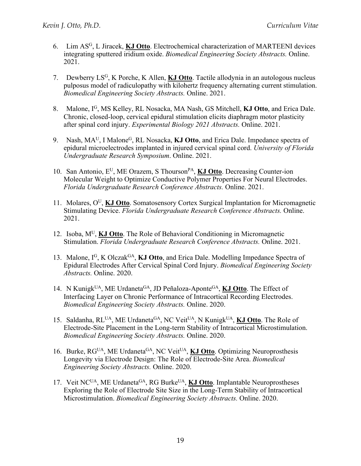- 6. Lim ASG, L Jiracek, **KJ Otto**. Electrochemical characterization of MARTEENI devices integrating sputtered iridium oxide. *Biomedical Engineering Society Abstracts.* Online. 2021.
- 7. Dewberry LSG, K Porche, K Allen, **KJ Otto**. Tactile allodynia in an autologous nucleus pulposus model of radiculopathy with kilohertz frequency alternating current stimulation. *Biomedical Engineering Society Abstracts.* Online. 2021.
- 8. Malone, IG, MS Kelley, RL Nosacka, MA Nash, GS Mitchell, **KJ Otto**, and Erica Dale. Chronic, closed-loop, cervical epidural stimulation elicits diaphragm motor plasticity after spinal cord injury. *Experimental Biology 2021 Abstracts.* Online. 2021.
- 9. Nash, MAU, I MaloneG, RL Nosacka, **KJ Otto**, and Erica Dale. Impedance spectra of epidural microelectrodes implanted in injured cervical spinal cord. *University of Florida Undergraduate Research Symposium*. Online. 2021.
- 10. San Antonio, E<sup>U</sup>, ME Orazem, S Thourson<sup>PA</sup>, **KJ Otto**. Decreasing Counter-ion Molecular Weight to Optimize Conductive Polymer Properties For Neural Electrodes. *Florida Undergraduate Research Conference Abstracts.* Online. 2021.
- 11. Molares, OU, **KJ Otto**. Somatosensory Cortex Surgical Implantation for Micromagnetic Stimulating Device. *Florida Undergraduate Research Conference Abstracts.* Online. 2021.
- 12. Isoba, MU, **KJ Otto**. The Role of Behavioral Conditioning in Micromagnetic Stimulation. *Florida Undergraduate Research Conference Abstracts.* Online. 2021.
- 13. Malone, IG, K OlczakGA, **KJ Otto**, and Erica Dale. Modelling Impedance Spectra of Epidural Electrodes After Cervical Spinal Cord Injury. *Biomedical Engineering Society Abstracts.* Online. 2020.
- 14. N Kunigk<sup>UA</sup>, ME Urdaneta<sup>GA</sup>, JD Peñaloza-Aponte<sup>GA</sup>, **KJ Otto**. The Effect of Interfacing Layer on Chronic Performance of Intracortical Recording Electrodes. *Biomedical Engineering Society Abstracts.* Online. 2020.
- 15. Saldanha, RLUA, ME UrdanetaGA, NC VeitUA, N KunigkUA, **KJ Otto**. The Role of Electrode-Site Placement in the Long-term Stability of Intracortical Microstimulation. *Biomedical Engineering Society Abstracts.* Online. 2020.
- 16. Burke, RG<sup>UA</sup>, ME Urdaneta<sup>GA</sup>, NC Veit<sup>UA</sup>, **KJ Otto**. Optimizing Neuroprosthesis Longevity via Electrode Design: The Role of Electrode-Site Area. *Biomedical Engineering Society Abstracts.* Online. 2020.
- 17. Veit NCUA, ME UrdanetaGA, RG BurkeUA, **KJ Otto**. Implantable Neuroprostheses Exploring the Role of Electrode Site Size in the Long-Term Stability of Intracortical Microstimulation. *Biomedical Engineering Society Abstracts.* Online. 2020.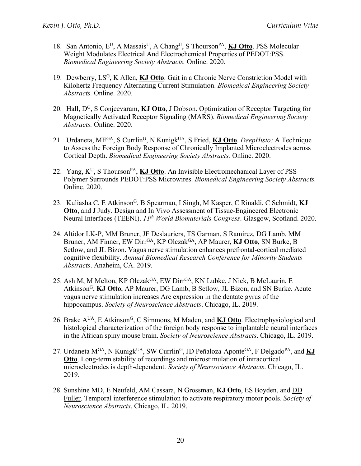- 18. San Antonio, EU, A MassaisU, A ChangU, S ThoursonPA, **KJ Otto**. PSS Molecular Weight Modulates Electrical And Electrochemical Properties of PEDOT:PSS. *Biomedical Engineering Society Abstracts.* Online. 2020.
- 19. Dewberry, LSG, K Allen, **KJ Otto**. Gait in a Chronic Nerve Constriction Model with Kilohertz Frequency Alternating Current Stimulation. *Biomedical Engineering Society Abstracts.* Online. 2020.
- 20. Hall, DG, S Conjeevaram, **KJ Otto**, J Dobson. Optimization of Receptor Targeting for Magnetically Activated Receptor Signaling (MARS). *Biomedical Engineering Society Abstracts.* Online. 2020.
- 21. Urdaneta, MEGA, S CurrlinG, N KunigkUA, S Fried, **KJ Otto**. *DeepHisto:* A Technique to Assess the Foreign Body Response of Chronically Implanted Microelectrodes across Cortical Depth. *Biomedical Engineering Society Abstracts.* Online. 2020.
- 22. Yang, K<sup>U</sup>, S Thourson<sup>PA</sup>, **KJ Otto**. An Invisible Electromechanical Layer of PSS Polymer Surrounds PEDOT:PSS Microwires. *Biomedical Engineering Society Abstracts.* Online. 2020.
- 23. Kuliasha C, E Atkinson<sup>G</sup>, B Spearman, I Singh, M Kasper, C Rinaldi, C Schmidt, KJ **Otto**, and J Judy. Design and In Vivo Assessment of Tissue-Engineered Electronic Neural Interfaces (TEENI). *11th World Biomaterials Congress*. Glasgow, Scotland. 2020.
- 24. Altidor LK-P, MM Bruner, JF Deslauriers, TS Garman, S Ramirez, DG Lamb, MM Bruner, AM Finner, EW Dirr<sup>GA</sup>, KP Olczak<sup>GA</sup>, AP Maurer, KJ Otto, SN Burke, B Setlow, and JL Bizon. Vagus nerve stimulation enhances prefrontal-cortical mediated cognitive flexibility. *Annual Biomedical Research Conference for Minority Students Abstracts*. Anaheim, CA. 2019.
- 25. Ash M, M Melton, KP Olczak<sup>GA</sup>, EW Dirr<sup>GA</sup>, KN Lubke, J Nick, B McLaurin, E AtkinsonG, **KJ Otto**, AP Maurer, DG Lamb, B Setlow, JL Bizon, and SN Burke. Acute vagus nerve stimulation increases Arc expression in the dentate gyrus of the hippocampus. *Society of Neuroscience Abstracts*. Chicago, IL. 2019.
- 26. Brake AUA, E AtkinsonG, C Simmons, M Maden, and **KJ Otto**. Electrophysiological and histological characterization of the foreign body response to implantable neural interfaces in the African spiny mouse brain. *Society of Neuroscience Abstracts*. Chicago, IL. 2019.
- 27. Urdaneta M<sup>GA</sup>, N Kunigk<sup>UA</sup>, SW Currlin<sup>G</sup>, JD Peñaloza-Aponte<sup>GA</sup>, F Delgado<sup>PA</sup>, and **KJ Otto**. Long-term stability of recordings and microstimulation of intracortical microelectrodes is depth-dependent. *Society of Neuroscience Abstracts*. Chicago, IL. 2019.
- 28. Sunshine MD, E Neufeld, AM Cassara, N Grossman, **KJ Otto**, ES Boyden, and DD Fuller. Temporal interference stimulation to activate respiratory motor pools. *Society of Neuroscience Abstracts*. Chicago, IL. 2019.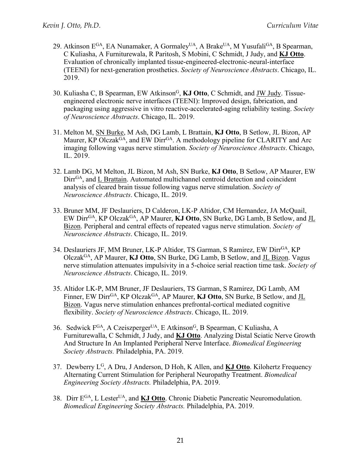- 29. Atkinson E<sup>GA</sup>, EA Nunamaker, A Gormaley<sup>UA</sup>, A Brake<sup>UA</sup>, M Yusufali<sup>GA</sup>, B Spearman, C Kuliasha, A Furniturewala, R Paritosh, S Mobini, C Schmidt, J Judy, and **KJ Otto**. Evaluation of chronically implanted tissue-engineered-electronic-neural-interface (TEENI) for next-generation prosthetics. *Society of Neuroscience Abstracts*. Chicago, IL. 2019.
- 30. Kuliasha C, B Spearman, EW AtkinsonG, **KJ Otto**, C Schmidt, and JW Judy. Tissueengineered electronic nerve interfaces (TEENI): Improved design, fabrication, and packaging using aggressive in vitro reactive-accelerated-aging reliability testing. *Society of Neuroscience Abstracts*. Chicago, IL. 2019.
- 31. Melton M, SN Burke, M Ash, DG Lamb, L Brattain, **KJ Otto**, B Setlow, JL Bizon, AP Maurer, KP Olczak<sup>GA</sup>, and EW Dirr<sup>GA</sup>. A methodology pipeline for CLARITY and Arc imaging following vagus nerve stimulation. *Society of Neuroscience Abstracts*. Chicago, IL. 2019.
- 32. Lamb DG, M Melton, JL Bizon, M Ash, SN Burke, **KJ Otto**, B Setlow, AP Maurer, EW Dirr<sup>GA</sup>, and L Brattain. Automated multichannel centroid detection and coincident analysis of cleared brain tissue following vagus nerve stimulation. *Society of Neuroscience Abstracts*. Chicago, IL. 2019.
- 33. Bruner MM, JF Deslauriers, D Calderon, LK-P Altidor, CM Hernandez, JA McQuail, EW DirrGA, KP OlczakGA, AP Maurer, **KJ Otto**, SN Burke, DG Lamb, B Setlow, and JL Bizon. Peripheral and central effects of repeated vagus nerve stimulation. *Society of Neuroscience Abstracts*. Chicago, IL. 2019.
- 34. Deslauriers JF, MM Bruner, LK-P Altidor, TS Garman, S Ramirez, EW Dirr<sup>GA</sup>, KP OlczakGA, AP Maurer, **KJ Otto**, SN Burke, DG Lamb, B Setlow, and JL Bizon. Vagus nerve stimulation attenuates impulsivity in a 5-choice serial reaction time task. *Society of Neuroscience Abstracts*. Chicago, IL. 2019.
- 35. Altidor LK-P, MM Bruner, JF Deslauriers, TS Garman, S Ramirez, DG Lamb, AM Finner, EW Dirr<sup>GA</sup>, KP Olczak<sup>GA</sup>, AP Maurer, KJ Otto, SN Burke, B Setlow, and JL Bizon. Vagus nerve stimulation enhances prefrontal-cortical mediated cognitive flexibility. *Society of Neuroscience Abstracts*. Chicago, IL. 2019.
- 36. Sedwick F<sup>GA</sup>, A Czeiszperger<sup>UA</sup>, E Atkinson<sup>G</sup>, B Spearman, C Kuliasha, A Furniturewalla, C Schmidt, J Judy, and **KJ Otto**. Analyzing Distal Sciatic Nerve Growth And Structure In An Implanted Peripheral Nerve Interface. *Biomedical Engineering Society Abstracts.* Philadelphia, PA. 2019.
- 37. Dewberry LG, A Dru, J Anderson, D Hoh, K Allen, and **KJ Otto**. Kilohertz Frequency Alternating Current Stimulation for Peripheral Neuropathy Treatment. *Biomedical Engineering Society Abstracts.* Philadelphia, PA. 2019.
- 38. Dirr EGA, L LesterUA, and **KJ Otto**. Chronic Diabetic Pancreatic Neuromodulation. *Biomedical Engineering Society Abstracts.* Philadelphia, PA. 2019.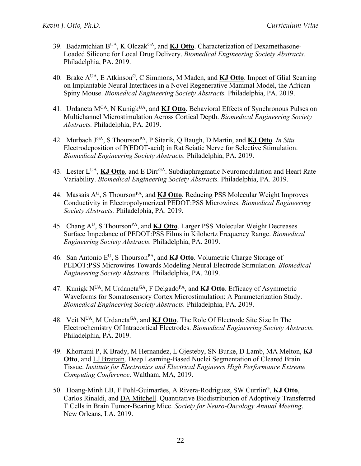- 39. Badamtchian BUA, K OlczakGA, and **KJ Otto**. Characterization of Dexamethasone-Loaded Silicone for Local Drug Delivery. *Biomedical Engineering Society Abstracts.* Philadelphia, PA. 2019.
- 40. Brake A<sup>UA</sup>, E Atkinson<sup>G</sup>, C Simmons, M Maden, and **KJ Otto**. Impact of Glial Scarring on Implantable Neural Interfaces in a Novel Regenerative Mammal Model, the African Spiny Mouse. *Biomedical Engineering Society Abstracts.* Philadelphia, PA. 2019.
- 41. Urdaneta M<sup>GA</sup>, N Kunigk<sup>UA</sup>, and **KJ Otto**. Behavioral Effects of Synchronous Pulses on Multichannel Microstimulation Across Cortical Depth. *Biomedical Engineering Society Abstracts.* Philadelphia, PA. 2019.
- 42. Murbach JGA, S ThoursonPA, P Sitarik, Q Baugh, D Martin, and **KJ Otto**. *In Situ* Electrodeposition of P(EDOT-acid) in Rat Sciatic Nerve for Selective Stimulation. *Biomedical Engineering Society Abstracts.* Philadelphia, PA. 2019.
- 43. Lester L<sup>UA</sup>, **KJ Otto**, and E Dirr<sup>GA</sup>. Subdiaphragmatic Neuromodulation and Heart Rate Variability. *Biomedical Engineering Society Abstracts.* Philadelphia, PA. 2019.
- 44. Massais A<sup>U</sup>, S Thourson<sup>PA</sup>, and **KJ Otto**. Reducing PSS Molecular Weight Improves Conductivity in Electropolymerized PEDOT:PSS Microwires. *Biomedical Engineering Society Abstracts.* Philadelphia, PA. 2019.
- 45. Chang AU, S ThoursonPA, and **KJ Otto**. Larger PSS Molecular Weight Decreases Surface Impedance of PEDOT:PSS Films in Kilohertz Frequency Range. *Biomedical Engineering Society Abstracts.* Philadelphia, PA. 2019.
- 46. San Antonio E<sup>U</sup>, S Thourson<sup>PA</sup>, and **KJ Otto**. Volumetric Charge Storage of PEDOT:PSS Microwires Towards Modeling Neural Electrode Stimulation. *Biomedical Engineering Society Abstracts.* Philadelphia, PA. 2019.
- 47. Kunigk N<sup>UA</sup>, M Urdaneta<sup>GA</sup>, F Delgado<sup>PA</sup>, and **KJ Otto**. Efficacy of Asymmetric Waveforms for Somatosensory Cortex Microstimulation: A Parameterization Study. *Biomedical Engineering Society Abstracts.* Philadelphia, PA. 2019.
- 48. Veit NUA, M UrdanetaGA, and **KJ Otto**. The Role Of Electrode Site Size In The Electrochemistry Of Intracortical Electrodes. *Biomedical Engineering Society Abstracts.* Philadelphia, PA. 2019.
- 49. Khorrami P, K Brady, M Hernandez, L Gjesteby, SN Burke, D Lamb, MA Melton, **KJ Otto**, and LJ Brattain. Deep Learning-Based Nuclei Segmentation of Cleared Brain Tissue. *Institute for Electronics and Electrical Engineers High Performance Extreme Computing Conference*. Waltham, MA, 2019.
- 50. Hoang-Minh LB, F Pohl-Guimarães, A Rivera-Rodriguez, SW CurrlinG, **KJ Otto**, Carlos Rinaldi, and DA Mitchell. Quantitative Biodistribution of Adoptively Transferred T Cells in Brain Tumor-Bearing Mice. *Society for Neuro-Oncology Annual Meeting*. New Orleans, LA. 2019.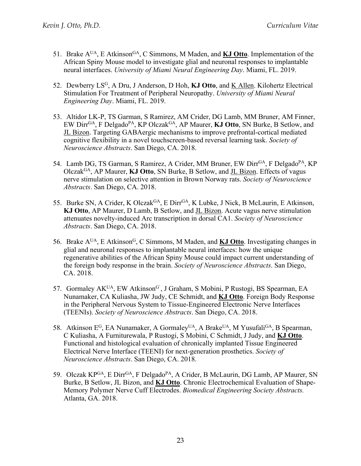- 51. Brake A<sup>UA</sup>, E Atkinson<sup>GA</sup>, C Simmons, M Maden, and **KJ Otto**. Implementation of the African Spiny Mouse model to investigate glial and neuronal responses to implantable neural interfaces. *University of Miami Neural Engineering Day*. Miami, FL. 2019.
- 52. Dewberry LSG, A Dru, J Anderson, D Hoh, **KJ Otto**, and K Allen. Kilohertz Electrical Stimulation For Treatment of Peripheral Neuropathy. *University of Miami Neural Engineering Day*. Miami, FL. 2019.
- 53. Altidor LK-P, TS Garman, S Ramirez, AM Crider, DG Lamb, MM Bruner, AM Finner, EW DirrGA, F DelgadoPA, KP OlczakGA, AP Maurer, **KJ Otto**, SN Burke, B Setlow, and JL Bizon. Targeting GABAergic mechanisms to improve prefrontal-cortical mediated cognitive flexibility in a novel touchscreen-based reversal learning task. *Society of Neuroscience Abstracts*. San Diego, CA. 2018.
- 54. Lamb DG, TS Garman, S Ramirez, A Crider, MM Bruner, EW Dirr<sup>GA</sup>, F Delgado<sup>PA</sup>, KP OlczakGA, AP Maurer, **KJ Otto**, SN Burke, B Setlow, and JL Bizon. Effects of vagus nerve stimulation on selective attention in Brown Norway rats. *Society of Neuroscience Abstracts*. San Diego, CA. 2018.
- 55. Burke SN, A Crider, K Olczak<sup>GA</sup>, E Dirr<sup>GA</sup>, K Lubke, J Nick, B McLaurin, E Atkinson, **KJ Otto**, AP Maurer, D Lamb, B Setlow, and JL Bizon. Acute vagus nerve stimulation attenuates novelty-induced Arc transcription in dorsal CA1. *Society of Neuroscience Abstracts*. San Diego, CA. 2018.
- 56. Brake AUA, E AtkinsonG, C Simmons, M Maden, and **KJ Otto**. Investigating changes in glial and neuronal responses to implantable neural interfaces: how the unique regenerative abilities of the African Spiny Mouse could impact current understanding of the foreign body response in the brain. *Society of Neuroscience Abstracts*. San Diego, CA. 2018.
- 57. Gormaley AK<sup>UA</sup>, EW Atkinson<sup>G</sup>, J Graham, S Mobini, P Rustogi, BS Spearman, EA Nunamaker, CA Kuliasha, JW Judy, CE Schmidt, and **KJ Otto**. Foreign Body Response in the Peripheral Nervous System to Tissue-Engineered Electronic Nerve Interfaces (TEENIs). *Society of Neuroscience Abstracts*. San Diego, CA. 2018.
- 58. Atkinson  $E^G$ , EA Nunamaker, A Gormaley<sup>UA</sup>, A Brake<sup>UA</sup>, M Yusufali<sup>GA</sup>, B Spearman, C Kuliasha, A Furniturewala, P Rustogi, S Mobini, C Schmidt, J Judy, and **KJ Otto**. Functional and histological evaluation of chronically implanted Tissue Engineered Electrical Nerve Interface (TEENI) for next-generation prosthetics. *Society of Neuroscience Abstracts*. San Diego, CA. 2018.
- 59. Olczak KP<sup>GA</sup>, E Dirr<sup>GA</sup>, F Delgado<sup>PA</sup>, A Crider, B McLaurin, DG Lamb, AP Maurer, SN Burke, B Setlow, JL Bizon, and **KJ Otto**. Chronic Electrochemical Evaluation of Shape-Memory Polymer Nerve Cuff Electrodes. *Biomedical Engineering Society Abstracts.* Atlanta, GA. 2018.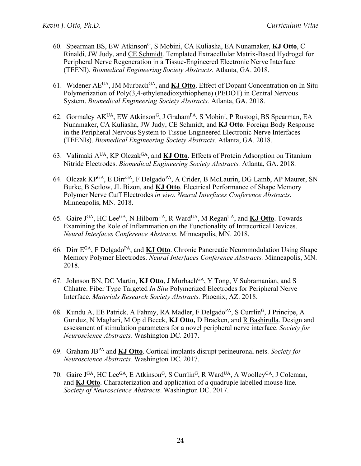- 60. Spearman BS, EW AtkinsonG, S Mobini, CA Kuliasha, EA Nunamaker, **KJ Otto**, C Rinaldi, JW Judy, and CE Schmidt. Templated Extracellular Matrix-Based Hydrogel for Peripheral Nerve Regeneration in a Tissue-Engineered Electronic Nerve Interface (TEENI). *Biomedical Engineering Society Abstracts.* Atlanta, GA. 2018.
- 61. Widener AEUA, JM MurbachGA, and **KJ Otto**. Effect of Dopant Concentration on In Situ Polymerization of Poly(3,4-ethylenedioxythiophene) (PEDOT) in Central Nervous System. *Biomedical Engineering Society Abstracts.* Atlanta, GA. 2018.
- 62. Gormaley AK<sup>UA</sup>, EW Atkinson<sup>G</sup>, J Graham<sup>PA</sup>, S Mobini, P Rustogi, BS Spearman, EA Nunamaker, CA Kuliasha, JW Judy, CE Schmidt, and **KJ Otto**. Foreign Body Response in the Peripheral Nervous System to Tissue-Engineered Electronic Nerve Interfaces (TEENIs). *Biomedical Engineering Society Abstracts.* Atlanta, GA. 2018.
- 63. Valimaki AUA, KP OlczakGA, and **KJ Otto**. Effects of Protein Adsorption on Titanium Nitride Electrodes. *Biomedical Engineering Society Abstracts.* Atlanta, GA. 2018.
- 64. Olczak KP<sup>GA</sup>, E Dirr<sup>GA</sup>, F Delgado<sup>PA</sup>, A Crider, B McLaurin, DG Lamb, AP Maurer, SN Burke, B Setlow, JL Bizon, and **KJ Otto**. Electrical Performance of Shape Memory Polymer Nerve Cuff Electrodes *in vivo*. *Neural Interfaces Conference Abstracts.*  Minneapolis, MN. 2018.
- 65. Gaire JGA, HC LeeGA, N HilbornUA, R WardUA, M ReganUA, and **KJ Otto**. Towards Examining the Role of Inflammation on the Functionality of Intracortical Devices. *Neural Interfaces Conference Abstracts.* Minneapolis, MN. 2018.
- 66. Dirr EGA, F DelgadoPA, and **KJ Otto**. Chronic Pancreatic Neuromodulation Using Shape Memory Polymer Electrodes. *Neural Interfaces Conference Abstracts.* Minneapolis, MN. 2018.
- 67. Johnson BN, DC Martin, **KJ Otto**, J Murbach<sup>GA</sup>, Y Tong, V Subramanian, and S Chhatre. Fiber Type Targeted *In Situ* Polymerized Electrodes for Peripheral Nerve Interface. *Materials Research Society Abstracts.* Phoenix, AZ. 2018.
- 68. Kundu A, EE Patrick, A Fahmy, RA Madler, F Delgado<sup>PA</sup>, S Currlin<sup>G</sup>, J Principe, A Gunduz, N Maghari, M Op d Beeck, **KJ Otto,** D Braeken, and R Bashirulla. Design and assessment of stimulation parameters for a novel peripheral nerve interface. *Society for Neuroscience Abstracts.* Washington DC. 2017.
- 69. Graham JBPA and **KJ Otto**. Cortical implants disrupt perineuronal nets. *Society for Neuroscience Abstracts.* Washington DC. 2017.
- 70. Gaire J<sup>GA</sup>, HC Lee<sup>GA</sup>, E Atkinson<sup>G</sup>, S Currlin<sup>G</sup>, R Ward<sup>UA</sup>, A Woolley<sup>GA</sup>, J Coleman, and **KJ Otto**. Characterization and application of a quadruple labelled mouse line*. Society of Neuroscience Abstracts*. Washington DC. 2017.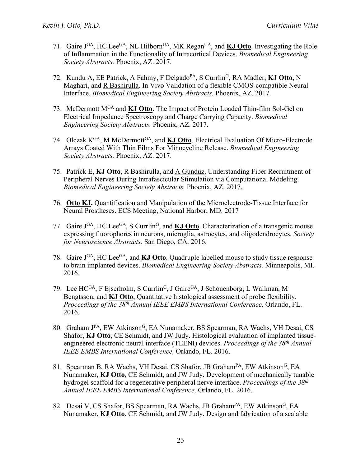- 71. Gaire JGA, HC LeeGA, NL HilbornUA, MK ReganUA, and **KJ Otto**. Investigating the Role of Inflammation in the Functionality of Intracortical Devices. *Biomedical Engineering Society Abstracts.* Phoenix, AZ. 2017.
- 72. Kundu A, EE Patrick, A Fahmy, F DelgadoPA, S CurrlinG, RA Madler, **KJ Otto,** N Maghari, and R Bashirulla. In Vivo Validation of a flexible CMOS-compatible Neural Interface. *Biomedical Engineering Society Abstracts.* Phoenix, AZ. 2017.
- 73. McDermott MGA and **KJ Otto**. The Impact of Protein Loaded Thin-film Sol-Gel on Electrical Impedance Spectroscopy and Charge Carrying Capacity. *Biomedical Engineering Society Abstracts.* Phoenix, AZ. 2017.
- 74. Olczak K<sup>GA</sup>, M McDermott<sup>GA</sup>, and **KJ Otto**. Electrical Evaluation Of Micro-Electrode Arrays Coated With Thin Films For Minocycline Release. *Biomedical Engineering Society Abstracts.* Phoenix, AZ. 2017.
- 75. Patrick E, **KJ Otto**, R Bashirulla, and A Gunduz. Understanding Fiber Recruitment of Peripheral Nerves During Intrafascicular Stimulation via Computational Modeling. *Biomedical Engineering Society Abstracts.* Phoenix, AZ. 2017.
- 76. **Otto KJ.** Quantification and Manipulation of the Microelectrode-Tissue Interface for Neural Prostheses. ECS Meeting, National Harbor, MD. 2017
- 77. Gaire J<sup>GA</sup>, HC Lee<sup>GA</sup>, S Currlin<sup>G</sup>, and **KJ Otto**. Characterization of a transgenic mouse expressing fluorophores in neurons, microglia, astrocytes, and oligodendrocytes. *Society for Neuroscience Abstracts.* San Diego, CA. 2016.
- 78. Gaire JGA, HC LeeGA, and **KJ Otto**. Quadruple labelled mouse to study tissue response to brain implanted devices. *Biomedical Engineering Society Abstracts.* Minneapolis, MI. 2016.
- 79. Lee HCGA, F Ejserholm, S Currlin<sup>G</sup>, J Gaire<sup>GA</sup>, J Schouenborg, L Wallman, M Bengtsson, and **KJ Otto**, Quantitative histological assessment of probe flexibility. *Proceedings of the 38th Annual IEEE EMBS International Conference,* Orlando, FL. 2016.
- 80. Graham J<sup>PA</sup>, EW Atkinson<sup>G</sup>, EA Nunamaker, BS Spearman, RA Wachs, VH Desai, CS Shafor, **KJ Otto**, CE Schmidt, and JW Judy. Histological evaluation of implanted tissueengineered electronic neural interface (TEENI) devices. *Proceedings of the 38th Annual IEEE EMBS International Conference,* Orlando, FL. 2016.
- 81. Spearman B, RA Wachs, VH Desai, CS Shafor, JB Graham<sup>PA</sup>, EW Atkinson<sup>G</sup>, EA Nunamaker, **KJ Otto**, CE Schmidt, and JW Judy. Development of mechanically tunable hydrogel scaffold for a regenerative peripheral nerve interface. *Proceedings of the 38th Annual IEEE EMBS International Conference,* Orlando, FL. 2016.
- 82. Desai V, CS Shafor, BS Spearman, RA Wachs, JB Graham<sup>PA</sup>, EW Atkinson<sup>G</sup>, EA Nunamaker, **KJ Otto**, CE Schmidt, and JW Judy. Design and fabrication of a scalable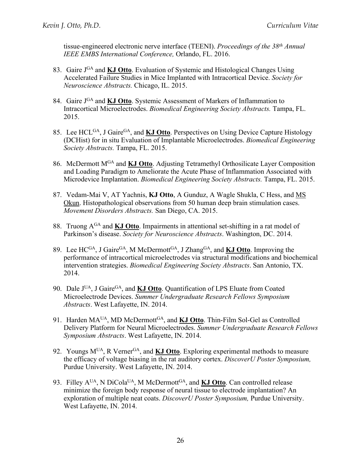tissue-engineered electronic nerve interface (TEENI). *Proceedings of the 38th Annual IEEE EMBS International Conference,* Orlando, FL. 2016.

- 83. Gaire JGA and **KJ Otto**. Evaluation of Systemic and Histological Changes Using Accelerated Failure Studies in Mice Implanted with Intracortical Device. *Society for Neuroscience Abstracts.* Chicago, IL. 2015.
- 84. Gaire JGA and **KJ Otto**. Systemic Assessment of Markers of Inflammation to Intracortical Microelectrodes. *Biomedical Engineering Society Abstracts.* Tampa, FL. 2015.
- 85. Lee HCL<sup>GA</sup>, J Gaire<sup>GA</sup>, and **KJ Otto**. Perspectives on Using Device Capture Histology (DCHist) for in situ Evaluation of Implantable Microelectrodes. *Biomedical Engineering Society Abstracts.* Tampa, FL. 2015.
- 86. McDermott MGA and **KJ Otto**. Adjusting Tetramethyl Orthosilicate Layer Composition and Loading Paradigm to Ameliorate the Acute Phase of Inflammation Associated with Microdevice Implantation. *Biomedical Engineering Society Abstracts.* Tampa, FL. 2015.
- 87. Vedam-Mai V, AT Yachnis, **KJ Otto**, A Gunduz, A Wagle Shukla, C Hess, and MS Okun. Histopathological observations from 50 human deep brain stimulation cases. *Movement Disorders Abstracts.* San Diego, CA. 2015.
- 88. Truong AGA and **KJ Otto**. Impairments in attentional set-shifting in a rat model of Parkinson's disease. *Society for Neuroscience Abstracts*. Washington, DC. 2014.
- 89. Lee HCGA, J GaireGA, M McDermottGA, J ZhangGA, and **KJ Otto**. Improving the performance of intracortical microelectrodes via structural modifications and biochemical intervention strategies. *Biomedical Engineering Society Abstracts*. San Antonio, TX. 2014.
- 90. Dale J<sup>UA</sup>, J Gaire<sup>GA</sup>, and **KJ Otto**. Quantification of LPS Eluate from Coated Microelectrode Devices. *Summer Undergraduate Research Fellows Symposium Abstracts*. West Lafayette, IN. 2014.
- 91. Harden MA<sup>UA</sup>, MD McDermott<sup>GA</sup>, and **KJ Otto**. Thin-Film Sol-Gel as Controlled Delivery Platform for Neural Microelectrodes. *Summer Undergraduate Research Fellows Symposium Abstracts*. West Lafayette, IN. 2014.
- 92. Youngs M<sup>UA</sup>, R Verner<sup>GA</sup>, and **KJ Otto**. Exploring experimental methods to measure the efficacy of voltage biasing in the rat auditory cortex. *DiscoverU Poster Symposium,*  Purdue University. West Lafayette, IN. 2014.
- 93. Filley A<sup>UA</sup>, N DiCola<sup>UA</sup>, M McDermott<sup>GA</sup>, and **KJ Otto**. Can controlled release minimize the foreign body response of neural tissue to electrode implantation? An exploration of multiple neat coats. *DiscoverU Poster Symposium,* Purdue University. West Lafayette, IN. 2014.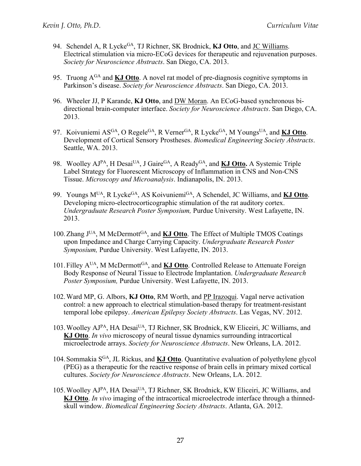- 94. Schendel A, R Lycke<sup>GA</sup>, TJ Richner, SK Brodnick, KJ Otto, and JC Williams. Electrical stimulation via micro-ECoG devices for therapeutic and rejuvenation purposes. *Society for Neuroscience Abstracts*. San Diego, CA. 2013.
- 95. Truong AGA and **KJ Otto**. A novel rat model of pre-diagnosis cognitive symptoms in Parkinson's disease. *Society for Neuroscience Abstracts*. San Diego, CA. 2013.
- 96. Wheeler JJ, P Karande, **KJ Otto**, and DW Moran. An ECoG-based synchronous bidirectional brain-computer interface. *Society for Neuroscience Abstracts*. San Diego, CA. 2013.
- 97. Koivuniemi AS<sup>GA</sup>, O Regele<sup>GA</sup>, R Verner<sup>GA</sup>, R Lycke<sup>GA</sup>, M Youngs<sup>UA</sup>, and **KJ Otto**. Development of Cortical Sensory Prostheses. *Biomedical Engineering Society Abstracts*. Seattle, WA. 2013.
- 98. Woolley AJ<sup>PA</sup>, H Desai<sup>UA</sup>, J Gaire<sup>GA</sup>, A Ready<sup>GA</sup>, and **KJ Otto.** A Systemic Triple Label Strategy for Fluorescent Microscopy of Inflammation in CNS and Non-CNS Tissue. *Microscopy and Microanalysis*. Indianapolis, IN. 2013.
- 99. Youngs MUA, R LyckeGA, AS KoivuniemiGA, A Schendel, JC Williams, and **KJ Otto**. Developing micro-electrocorticographic stimulation of the rat auditory cortex. *Undergraduate Research Poster Symposium,* Purdue University. West Lafayette, IN. 2013.
- 100.Zhang JUA, M McDermottGA, and **KJ Otto**. The Effect of Multiple TMOS Coatings upon Impedance and Charge Carrying Capacity. *Undergraduate Research Poster Symposium,* Purdue University. West Lafayette, IN. 2013.
- 101. Filley A<sup>UA</sup>, M McDermott<sup>GA</sup>, and **KJ Otto**. Controlled Release to Attenuate Foreign Body Response of Neural Tissue to Electrode Implantation. *Undergraduate Research Poster Symposium,* Purdue University. West Lafayette, IN. 2013.
- 102.Ward MP, G. Albors, **KJ Otto**, RM Worth, and PP Irazoqui. Vagal nerve activation control: a new approach to electrical stimulation-based therapy for treatment-resistant temporal lobe epilepsy. *American Epilepsy Society Abstracts*. Las Vegas, NV. 2012.
- 103. Woolley AJ<sup>PA</sup>, HA Desai<sup>UA</sup>, TJ Richner, SK Brodnick, KW Eliceiri, JC Williams, and **KJ Otto**. *In vivo* microscopy of neural tissue dynamics surrounding intracortical microelectrode arrays. *Society for Neuroscience Abstracts*. New Orleans, LA. 2012.
- 104.Sommakia SGA, JL Rickus, and **KJ Otto**. Quantitative evaluation of polyethylene glycol (PEG) as a therapeutic for the reactive response of brain cells in primary mixed cortical cultures. *Society for Neuroscience Abstracts*. New Orleans, LA. 2012.
- 105. Woolley AJPA, HA Desai<sup>UA</sup>, TJ Richner, SK Brodnick, KW Eliceiri, JC Williams, and **KJ Otto**. *In vivo* imaging of the intracortical microelectrode interface through a thinnedskull window. *Biomedical Engineering Society Abstracts*. Atlanta, GA. 2012.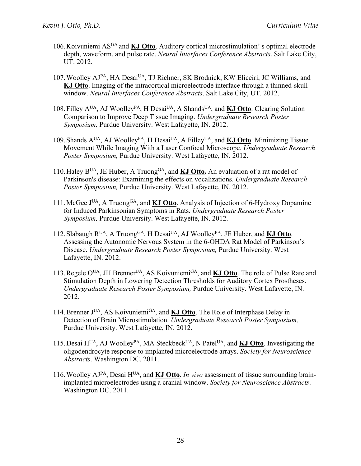- 106.Koivuniemi ASGA and **KJ Otto**. Auditory cortical microstimulation' s optimal electrode depth, waveform, and pulse rate. *Neural Interfaces Conference Abstracts*. Salt Lake City, UT. 2012.
- 107. Woolley AJPA, HA Desai<sup>UA</sup>, TJ Richner, SK Brodnick, KW Eliceiri, JC Williams, and **KJ Otto**. Imaging of the intracortical microelectrode interface through a thinned-skull window. *Neural Interfaces Conference Abstracts*. Salt Lake City, UT. 2012.
- 108.Filley AUA, AJ WoolleyPA, H DesaiUA, A ShandsUA, and **KJ Otto**. Clearing Solution Comparison to Improve Deep Tissue Imaging. *Undergraduate Research Poster Symposium,* Purdue University. West Lafayette, IN. 2012.
- 109.Shands AUA, AJ WoolleyPA, H DesaiUA, A FilleyUA, and **KJ Otto**. Minimizing Tissue Movement While Imaging With a Laser Confocal Microscope. *Undergraduate Research Poster Symposium,* Purdue University. West Lafayette, IN. 2012.
- 110.Haley BUA, JE Huber, A TruongGA, and **KJ Otto.** An evaluation of a rat model of Parkinson's disease: Examining the effects on vocalizations. *Undergraduate Research Poster Symposium,* Purdue University. West Lafayette, IN. 2012.
- 111.McGee JUA, A TruongGA, and **KJ Otto**. Analysis of Injection of 6-Hydroxy Dopamine for Induced Parkinsonian Symptoms in Rats. *Undergraduate Research Poster Symposium,* Purdue University. West Lafayette, IN. 2012.
- 112. Slabaugh  $R^{UA}$ , A Truong<sup>GA</sup>, H Desai<sup>UA</sup>, AJ Woolley<sup>PA</sup>, JE Huber, and **KJ Otto**. Assessing the Autonomic Nervous System in the 6-OHDA Rat Model of Parkinson's Disease. *Undergraduate Research Poster Symposium,* Purdue University. West Lafayette, IN. 2012.
- 113.Regele OUA, JH BrennerUA, AS KoivuniemiGA, and **KJ Otto**. The role of Pulse Rate and Stimulation Depth in Lowering Detection Thresholds for Auditory Cortex Prostheses. *Undergraduate Research Poster Symposium,* Purdue University. West Lafayette, IN. 2012.
- 114.Brenner JUA, AS KoivuniemiGA, and **KJ Otto**. The Role of Interphase Delay in Detection of Brain Microstimulation. *Undergraduate Research Poster Symposium,*  Purdue University. West Lafayette, IN. 2012.
- 115. Desai  $H<sup>UA</sup>$ , AJ Woolley<sup>PA</sup>, MA Steckbeck<sup>UA</sup>, N Patel<sup>UA</sup>, and **KJ Otto**. Investigating the oligodendrocyte response to implanted microelectrode arrays. *Society for Neuroscience Abstracts*. Washington DC. 2011.
- 116.Woolley AJPA, Desai HUA, and **KJ Otto**. *In vivo* assessment of tissue surrounding brainimplanted microelectrodes using a cranial window. *Society for Neuroscience Abstracts*. Washington DC. 2011.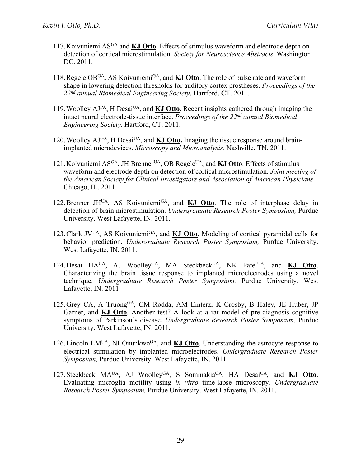- 117.Koivuniemi ASGA and **KJ Otto**. Effects of stimulus waveform and electrode depth on detection of cortical microstimulation. *Society for Neuroscience Abstracts*. Washington DC. 2011.
- 118.Regele OBGA**,** AS KoivuniemiGA, and **KJ Otto**. The role of pulse rate and waveform shape in lowering detection thresholds for auditory cortex prostheses. *Proceedings of the 22nd annual Biomedical Engineering Society*. Hartford, CT. 2011.
- 119.Woolley AJPA, H DesaiUA, and **KJ Otto**. Recent insights gathered through imaging the intact neural electrode-tissue interface. *Proceedings of the 22nd annual Biomedical Engineering Society*. Hartford, CT. 2011.
- 120. Woolley AJ<sup>GA</sup>, H Desai<sup>UA</sup>, and **KJ Otto.** Imaging the tissue response around brainimplanted microdevices. *Microscopy and Microanalysis*. Nashville, TN. 2011.
- 121.Koivuniemi ASGA, JH BrennerUA, OB RegeleUA, and **KJ Otto**. Effects of stimulus waveform and electrode depth on detection of cortical microstimulation. *Joint meeting of the American Society for Clinical Investigators and Association of American Physicians*. Chicago, IL. 2011.
- 122. Brenner JH<sup>UA</sup>, AS Koivuniemi<sup>GA</sup>, and **KJ Otto**. The role of interphase delay in detection of brain microstimulation. *Undergraduate Research Poster Symposium,* Purdue University. West Lafayette, IN. 2011.
- 123.Clark JVUA, AS KoivuniemiGA, and **KJ Otto**. Modeling of cortical pyramidal cells for behavior prediction. *Undergraduate Research Poster Symposium,* Purdue University. West Lafayette, IN. 2011.
- 124. Desai HA<sup>UA</sup>, AJ Woolley<sup>GA</sup>, MA Steckbeck<sup>UA</sup>, NK Patel<sup>UA</sup>, and **KJ Otto**. Characterizing the brain tissue response to implanted microelectrodes using a novel technique. *Undergraduate Research Poster Symposium,* Purdue University. West Lafayette, IN. 2011.
- 125. Grey CA, A Truong<sup>GA</sup>, CM Rodda, AM Einterz, K Crosby, B Haley, JE Huber, JP Garner, and **KJ Otto**. Another test? A look at a rat model of pre-diagnosis cognitive symptoms of Parkinson's disease. *Undergraduate Research Poster Symposium,* Purdue University. West Lafayette, IN. 2011.
- 126. Lincoln LM<sup>UA</sup>, NI Onunkwo<sup>GA</sup>, and **KJ Otto**. Understanding the astrocyte response to electrical stimulation by implanted microelectrodes. *Undergraduate Research Poster Symposium,* Purdue University. West Lafayette, IN. 2011.
- 127.Steckbeck MAUA, AJ WoolleyGA, S SommakiaGA, HA DesaiUA, and **KJ Otto**. Evaluating microglia motility using *in vitro* time-lapse microscopy. *Undergraduate Research Poster Symposium,* Purdue University. West Lafayette, IN. 2011.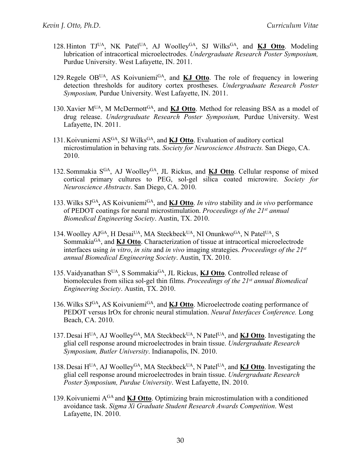- 128. Hinton TJUA, NK Patel<sup>UA</sup>, AJ Woolley<sup>GA</sup>, SJ Wilks<sup>GA</sup>, and **KJ Otto**. Modeling lubrication of intracortical microelectrodes. *Undergraduate Research Poster Symposium,*  Purdue University. West Lafayette, IN. 2011.
- 129.Regele OBUA, AS KoivuniemiGA, and **KJ Otto**. The role of frequency in lowering detection thresholds for auditory cortex prostheses. *Undergraduate Research Poster Symposium,* Purdue University. West Lafayette, IN. 2011.
- 130. Xavier M<sup>UA</sup>, M McDermott<sup>GA</sup>, and **KJ Otto**. Method for releasing BSA as a model of drug release. *Undergraduate Research Poster Symposium,* Purdue University. West Lafayette, IN. 2011.
- 131. Koivuniemi AS<sup>GA</sup>, SJ Wilks<sup>GA</sup>, and **KJ Otto**. Evaluation of auditory cortical microstimulation in behaving rats. *Society for Neuroscience Abstracts.* San Diego, CA. 2010.
- 132. Sommakia S<sup>GA</sup>, AJ Woolley<sup>GA</sup>, JL Rickus, and **KJ Otto**. Cellular response of mixed cortical primary cultures to PEG, sol-gel silica coated microwire. *Society for Neuroscience Abstracts*. San Diego, CA. 2010.
- 133.Wilks SJGA**,** AS KoivuniemiGA, and **KJ Otto**. *In vitro* stability and *in vivo* performance of PEDOT coatings for neural microstimulation. *Proceedings of the 21st annual Biomedical Engineering Society*. Austin, TX. 2010.
- 134. Woolley  $AJ<sup>GA</sup>$ , H Desai<sup>UA</sup>, MA Steckbeck<sup>UA</sup>, NI Onunkwo<sup>GA</sup>, N Patel<sup>UA</sup>, S SommakiaGA, and **KJ Otto**. Characterization of tissue at intracortical microelectrode interfaces using *in vitro*, *in situ* and *in vivo* imaging strategies. *Proceedings of the 21st annual Biomedical Engineering Society*. Austin, TX. 2010.
- 135.Vaidyanathan SUA, S SommakiaGA, JL Rickus, **KJ Otto**. Controlled release of biomolecules from silica sol-gel thin films. *Proceedings of the 21st annual Biomedical Engineering Society*. Austin, TX. 2010.
- 136. Wilks SJ<sup>GA</sup>, AS Koivuniemi<sup>GA</sup>, and **KJ Otto**. Microelectrode coating performance of PEDOT versus IrOx for chronic neural stimulation. *Neural Interfaces Conference.* Long Beach, CA. 2010.
- 137. Desai H<sup>UA</sup>, AJ Woolley<sup>GA</sup>, MA Steckbeck<sup>UA</sup>, N Patel<sup>UA</sup>, and **KJ Otto**. Investigating the glial cell response around microelectrodes in brain tissue. *Undergraduate Research Symposium, Butler University*. Indianapolis, IN. 2010.
- 138.Desai HUA, AJ WoolleyGA, MA SteckbeckUA, N PatelUA, and **KJ Otto**. Investigating the glial cell response around microelectrodes in brain tissue. *Undergraduate Research Poster Symposium, Purdue University*. West Lafayette, IN. 2010.
- 139.Koivuniemi AGA and **KJ Otto**. Optimizing brain microstimulation with a conditioned avoidance task. *Sigma Xi Graduate Student Research Awards Competition*. West Lafayette, IN. 2010.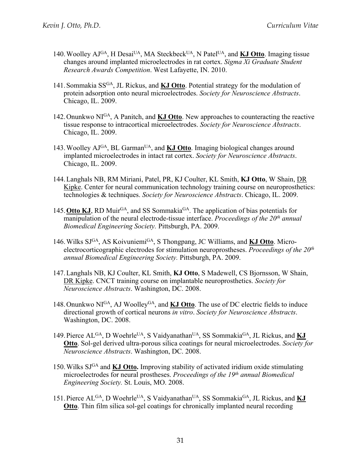- 140. Woolley  $AJ<sup>GA</sup>$ , H Desai<sup>UA</sup>, MA Steckbeck<sup>UA</sup>, N Patel<sup>UA</sup>, and **KJ Otto**. Imaging tissue changes around implanted microelectrodes in rat cortex. *Sigma Xi Graduate Student Research Awards Competition*. West Lafayette, IN. 2010.
- 141.Sommakia SSGA, JL Rickus, and **KJ Otto**. Potential strategy for the modulation of protein adsorption onto neural microelectrodes. *Society for Neuroscience Abstracts*. Chicago, IL. 2009.
- 142.Onunkwo NIGA, A Panitch, and **KJ Otto**. New approaches to counteracting the reactive tissue response to intracortical microelectrodes. *Society for Neuroscience Abstracts*. Chicago, IL. 2009.
- 143. Woolley AJ<sup>GA</sup>, BL Garman<sup>UA</sup>, and **KJ Otto**. Imaging biological changes around implanted microelectrodes in intact rat cortex. *Society for Neuroscience Abstracts*. Chicago, IL. 2009.
- 144.Langhals NB, RM Miriani, Patel, PR, KJ Coulter, KL Smith, **KJ Otto**, W Shain, DR Kipke. Center for neural communication technology training course on neuroprosthetics: technologies & techniques. *Society for Neuroscience Abstracts*. Chicago, IL. 2009.
- 145. Otto KJ, RD Muir<sup>GA</sup>, and SS Sommakia<sup>GA</sup>. The application of bias potentials for manipulation of the neural electrode-tissue interface. *Proceedings of the 20th annual Biomedical Engineering Society.* Pittsburgh, PA. 2009.
- 146.Wilks SJGA, AS KoivuniemiGA, S Thongpang, JC Williams, and **KJ Otto**. Microelectrocorticographic electrodes for stimulation neuroprostheses. *Proceedings of the 20th annual Biomedical Engineering Society.* Pittsburgh, PA. 2009.
- 147.Langhals NB, KJ Coulter, KL Smith, **KJ Otto**, S Madewell, CS Bjornsson, W Shain, DR Kipke. CNCT training course on implantable neuroprosthetics. *Society for Neuroscience Abstracts*. Washington, DC. 2008.
- 148.Onunkwo NIGA, AJ WoolleyGA, and **KJ Otto**. The use of DC electric fields to induce directional growth of cortical neurons *in vitro*. *Society for Neuroscience Abstracts*. Washington, DC. 2008.
- 149. Pierce AL<sup>GA</sup>, D Woehrle<sup>UA</sup>, S Vaidyanathan<sup>UA</sup>, SS Sommakia<sup>GA</sup>, JL Rickus, and KJ **Otto**. Sol-gel derived ultra-porous silica coatings for neural microelectrodes. *Society for Neuroscience Abstracts*. Washington, DC. 2008.
- 150.Wilks SJGA and **KJ Otto.** Improving stability of activated iridium oxide stimulating microelectrodes for neural prostheses. *Proceedings of the 19th annual Biomedical Engineering Society.* St. Louis, MO. 2008.
- 151. Pierce AL<sup>GA</sup>, D Woehrle<sup>UA</sup>, S Vaidyanathan<sup>UA</sup>, SS Sommakia<sup>GA</sup>, JL Rickus, and **KJ Otto**. Thin film silica sol-gel coatings for chronically implanted neural recording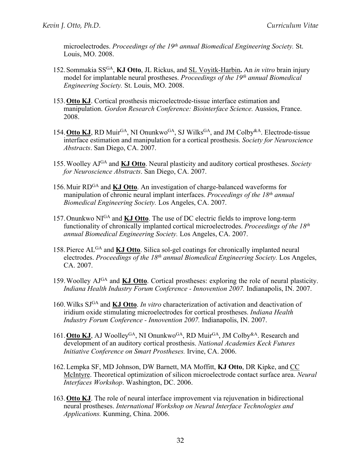microelectrodes. *Proceedings of the 19th annual Biomedical Engineering Society.* St. Louis, MO. 2008.

- 152.Sommakia SSGA, **KJ Otto**, JL Rickus, and SL Voyitk-Harbin**.** An *in vitro* brain injury model for implantable neural prostheses. *Proceedings of the 19th annual Biomedical Engineering Society.* St. Louis, MO. 2008.
- 153.**Otto KJ**. Cortical prosthesis microelectrode-tissue interface estimation and manipulation. *Gordon Research Conference: Biointerface Science.* Aussios, France. 2008.
- 154. Otto KJ, RD Muir<sup>GA</sup>, NI Onunkwo<sup>GA</sup>, SJ Wilks<sup>GA</sup>, and JM Colby<sup>&A</sup>. Electrode-tissue interface estimation and manipulation for a cortical prosthesis. *Society for Neuroscience Abstracts*. San Diego, CA. 2007.
- 155.Woolley AJGA and **KJ Otto**. Neural plasticity and auditory cortical prostheses. *Society for Neuroscience Abstracts*. San Diego, CA. 2007.
- 156.Muir RDGA and **KJ Otto**. An investigation of charge-balanced waveforms for manipulation of chronic neural implant interfaces. *Proceedings of the 18th annual Biomedical Engineering Society.* Los Angeles, CA. 2007.
- 157.Onunkwo NIGA and **KJ Otto**. The use of DC electric fields to improve long-term functionality of chronically implanted cortical microelectrodes. *Proceedings of the 18th annual Biomedical Engineering Society.* Los Angeles, CA. 2007.
- 158.Pierce ALGA and **KJ Otto**. Silica sol-gel coatings for chronically implanted neural electrodes. *Proceedings of the 18th annual Biomedical Engineering Society.* Los Angeles, CA. 2007.
- 159.Woolley AJGA and **KJ Otto**. Cortical prostheses: exploring the role of neural plasticity. *Indiana Health Industry Forum Conference - Innovention 2007.* Indianapolis, IN. 2007.
- 160.Wilks SJGA and **KJ Otto**. *In vitro* characterization of activation and deactivation of iridium oxide stimulating microelectrodes for cortical prostheses. *Indiana Health Industry Forum Conference - Innovention 2007.* Indianapolis, IN. 2007.
- 161. Otto KJ, AJ Woolley<sup>GA</sup>, NI Onunkwo<sup>GA</sup>, RD Muir<sup>GA</sup>, JM Colby<sup>&A</sup>. Research and development of an auditory cortical prosthesis. *National Academies Keck Futures Initiative Conference on Smart Prostheses.* Irvine, CA. 2006.
- 162.Lempka SF, MD Johnson, DW Barnett, MA Moffitt, **KJ Otto**, DR Kipke, and CC McIntyre. Theoretical optimization of silicon microelectrode contact surface area. *Neural Interfaces Workshop*. Washington, DC. 2006.
- 163.**Otto KJ**. The role of neural interface improvement via rejuvenation in bidirectional neural prostheses. *International Workshop on Neural Interface Technologies and Applications.* Kunming, China. 2006.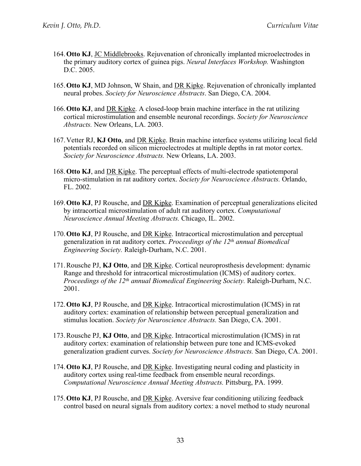- 164.**Otto KJ**, JC Middlebrooks. Rejuvenation of chronically implanted microelectrodes in the primary auditory cortex of guinea pigs. *Neural Interfaces Workshop.* Washington D.C. 2005.
- 165.**Otto KJ**, MD Johnson, W Shain, and DR Kipke. Rejuvenation of chronically implanted neural probes. *Society for Neuroscience Abstracts*. San Diego, CA. 2004.
- 166.**Otto KJ**, and DR Kipke. A closed-loop brain machine interface in the rat utilizing cortical microstimulation and ensemble neuronal recordings. *Society for Neuroscience Abstracts.* New Orleans, LA. 2003.
- 167.Vetter RJ, **KJ Otto**, and DR Kipke. Brain machine interface systems utilizing local field potentials recorded on silicon microelectrodes at multiple depths in rat motor cortex. *Society for Neuroscience Abstracts.* New Orleans, LA. 2003.
- 168.**Otto KJ**, and DR Kipke. The perceptual effects of multi-electrode spatiotemporal micro-stimulation in rat auditory cortex. *Society for Neuroscience Abstracts.* Orlando, FL. 2002.
- 169.**Otto KJ**, PJ Rousche, and DR Kipke. Examination of perceptual generalizations elicited by intracortical microstimulation of adult rat auditory cortex. *Computational Neuroscience Annual Meeting Abstracts.* Chicago, IL. 2002.
- 170.**Otto KJ**, PJ Rousche, and DR Kipke. Intracortical microstimulation and perceptual generalization in rat auditory cortex. *Proceedings of the 12th annual Biomedical Engineering Society.* Raleigh-Durham, N.C. 2001.
- 171.Rousche PJ, **KJ Otto**, and DR Kipke. Cortical neuroprosthesis development: dynamic Range and threshold for intracortical microstimulation (ICMS) of auditory cortex. *Proceedings of the 12th annual Biomedical Engineering Society.* Raleigh-Durham, N.C. 2001.
- 172.**Otto KJ**, PJ Rousche, and DR Kipke. Intracortical microstimulation (ICMS) in rat auditory cortex: examination of relationship between perceptual generalization and stimulus location. *Society for Neuroscience Abstracts.* San Diego, CA. 2001.
- 173.Rousche PJ, **KJ Otto**, and DR Kipke. Intracortical microstimulation (ICMS) in rat auditory cortex: examination of relationship between pure tone and ICMS-evoked generalization gradient curves. *Society for Neuroscience Abstracts.* San Diego, CA. 2001.
- 174.**Otto KJ**, PJ Rousche, and DR Kipke. Investigating neural coding and plasticity in auditory cortex using real-time feedback from ensemble neural recordings. *Computational Neuroscience Annual Meeting Abstracts.* Pittsburg, PA. 1999.
- 175.**Otto KJ**, PJ Rousche, and DR Kipke. Aversive fear conditioning utilizing feedback control based on neural signals from auditory cortex: a novel method to study neuronal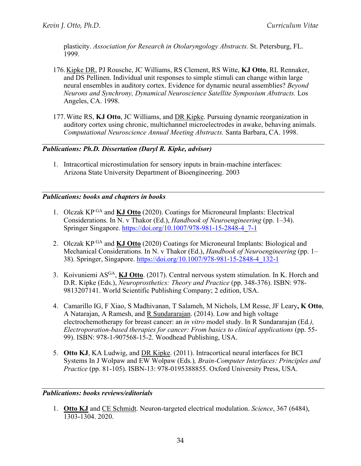plasticity. *Association for Research in Otolaryngology Abstracts.* St. Petersburg, FL. 1999.

- 176.Kipke DR, PJ Rousche, JC Williams, RS Clement, RS Witte, **KJ Otto**, RL Rennaker, and DS Pellinen. Individual unit responses to simple stimuli can change within large neural ensembles in auditory cortex. Evidence for dynamic neural assemblies? *Beyond Neurons and Synchrony, Dynamical Neuroscience Satellite Symposium Abstracts.* Los Angeles, CA. 1998.
- 177.Witte RS, **KJ Otto**, JC Williams, and DR Kipke. Pursuing dynamic reorganization in auditory cortex using chronic, multichannel microelectrodes in awake, behaving animals. *Computational Neuroscience Annual Meeting Abstracts.* Santa Barbara, CA. 1998.

# *Publications: Ph.D. Dissertation (Daryl R. Kipke, advisor)*

1. Intracortical microstimulation for sensory inputs in brain-machine interfaces: Arizona State University Department of Bioengineering. 2003

### *Publications: books and chapters in books*

- 1. Olczak KP GA and **KJ Otto** (2020). Coatings for Microneural Implants: Electrical Considerations. In N. v Thakor (Ed.), *Handbook of Neuroengineering* (pp. 1–34). Springer Singapore. https://doi.org/10.1007/978-981-15-2848-4\_7-1
- 2. Olczak KP GA and **KJ Otto** (2020) Coatings for Microneural Implants: Biological and Mechanical Considerations. In N. v Thakor (Ed.), *Handbook of Neuroengineering* (pp. 1– 38). Springer, Singapore. https://doi.org/10.1007/978-981-15-2848-4\_132-1
- 3. Koivuniemi ASGA, **KJ Otto**. (2017). Central nervous system stimulation. In K. Horch and D.R. Kipke (Eds.), *Neuroprosthetics: Theory and Practice* (pp. 348-376). ISBN: 978- 9813207141. World Scientific Publishing Company; 2 edition, USA.
- 4. Camarillo IG, F Xiao, S Madhivanan, T Salameh, M Nichols, LM Resse, JF Leary**, K Otto**, A Natarajan, A Ramesh, and R Sundararajan. (2014). Low and high voltage electrochemotherapy for breast cancer: an *in vitro* model study. In R Sundararajan (Ed*.), Electroporation-based therapies for cancer: From basics to clinical applications (pp. 55-*99). ISBN: 978-1-907568-15-2. Woodhead Publishing, USA.
- 5. **Otto KJ**, KA Ludwig, and DR Kipke. (2011). Intracortical neural interfaces for BCI Systems In J Wolpaw and EW Wolpaw (Eds*.*)*, Brain-Computer Interfaces: Principles and Practice* (pp. 81-105). ISBN-13: 978-0195388855. Oxford University Press, USA.

#### *Publications: books reviews/editorials*

1. **Otto KJ** and CE Schmidt. Neuron-targeted electrical modulation. *Science*, 367 (6484), 1303-1304. 2020.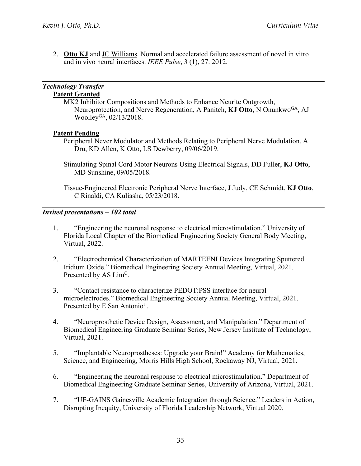2. **Otto KJ** and JC Williams. Normal and accelerated failure assessment of novel in vitro and in vivo neural interfaces. *IEEE Pulse*, 3 (1), 27. 2012.

#### *Technology Transfer*  **Patent Granted**

MK2 Inhibitor Compositions and Methods to Enhance Neurite Outgrowth, Neuroprotection, and Nerve Regeneration, A Panitch, **KJ Otto**, N OnunkwoGA, AJ Woolley<sup>GA</sup>, 02/13/2018.

### **Patent Pending**

- Peripheral Never Modulator and Methods Relating to Peripheral Nerve Modulation. A Dru, KD Allen, K Otto, LS Dewberry, 09/06/2019.
- Stimulating Spinal Cord Motor Neurons Using Electrical Signals, DD Fuller, **KJ Otto**, MD Sunshine, 09/05/2018.

Tissue-Engineered Electronic Peripheral Nerve Interface, J Judy, CE Schmidt, **KJ Otto**, C Rinaldi, CA Kuliasha, 05/23/2018.

### *Invited presentations – 102 total*

- 1. "Engineering the neuronal response to electrical microstimulation." University of Florida Local Chapter of the Biomedical Engineering Society General Body Meeting, Virtual, 2022.
- 2. "Electrochemical Characterization of MARTEENI Devices Integrating Sputtered Iridium Oxide." Biomedical Engineering Society Annual Meeting, Virtual, 2021. Presented by AS Lim<sup>G</sup>.
- 3. "Contact resistance to characterize PEDOT:PSS interface for neural microelectrodes." Biomedical Engineering Society Annual Meeting, Virtual, 2021. Presented by E San Antonio<sup>U</sup>.
- 4. "Neuroprosthetic Device Design, Assessment, and Manipulation." Department of Biomedical Engineering Graduate Seminar Series, New Jersey Institute of Technology, Virtual, 2021.
- 5. "Implantable Neuroprostheses: Upgrade your Brain!" Academy for Mathematics, Science, and Engineering, Morris Hills High School, Rockaway NJ, Virtual, 2021.
- 6. "Engineering the neuronal response to electrical microstimulation." Department of Biomedical Engineering Graduate Seminar Series, University of Arizona, Virtual, 2021.
- 7. "UF-GAINS Gainesville Academic Integration through Science." Leaders in Action, Disrupting Inequity, University of Florida Leadership Network, Virtual 2020.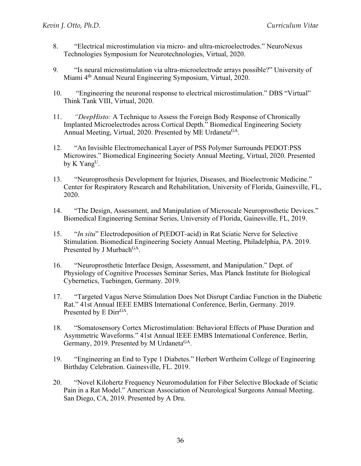- 8. "Electrical microstimulation via micro- and ultra-microelectrodes." NeuroNexus Technologies Symposium for Neurotechnologies, Virtual, 2020.
- 9. "Is neural microstimulation via ultra-microelectrode arrays possible?" University of Miami 4th Annual Neural Engineering Symposium, Virtual, 2020.
- 10. "Engineering the neuronal response to electrical microstimulation." DBS "Virtual" Think Tank VIII, Virtual, 2020.
- 11. *"DeepHisto:* A Technique to Assess the Foreign Body Response of Chronically Implanted Microelectrodes across Cortical Depth." Biomedical Engineering Society Annual Meeting, Virtual, 2020. Presented by ME Urdaneta<sup>GA</sup>.
- 12. "An Invisible Electromechanical Layer of PSS Polymer Surrounds PEDOT:PSS Microwires." Biomedical Engineering Society Annual Meeting, Virtual, 2020. Presented by K Yang<sup>U</sup>.
- 13. "Neuroprosthesis Development for Injuries, Diseases, and Bioelectronic Medicine." Center for Respiratory Research and Rehabilitation, University of Florida, Gainesville, FL, 2020.
- 14. "The Design, Assessment, and Manipulation of Microscale Neuroprosthetic Devices." Biomedical Engineering Seminar Series, University of Florida, Gainesville, FL, 2019.
- 15. "*In situ*" Electrodeposition of P(EDOT-acid) in Rat Sciatic Nerve for Selective Stimulation. Biomedical Engineering Society Annual Meeting, Philadelphia, PA. 2019. Presented by J Murbach<sup>GA</sup>.
- 16. "Neuroprosthetic Interface Design, Assessment, and Manipulation." Dept. of Physiology of Cognitive Processes Seminar Series, Max Planck Institute for Biological Cybernetics, Tuebingen, Germany. 2019.
- 17. "Targeted Vagus Nerve Stimulation Does Not Disrupt Cardiac Function in the Diabetic Rat." 41st Annual IEEE EMBS International Conference, Berlin, Germany. 2019. Presented by E Dirr<sup>GA</sup>.
- 18. "Somatosensory Cortex Microstimulation: Behavioral Effects of Phase Duration and Asymmetric Waveforms." 41st Annual IEEE EMBS International Conference. Berlin, Germany, 2019. Presented by M Urdaneta<sup>GA</sup>.
- 19. "Engineering an End to Type 1 Diabetes." Herbert Wertheim College of Engineering Birthday Celebration. Gainesville, FL. 2019.
- 20. "Novel Kilohertz Frequency Neuromodulation for Fiber Selective Blockade of Sciatic Pain in a Rat Model." American Association of Neurological Surgeons Annual Meeting. San Diego, CA, 2019. Presented by A Dru.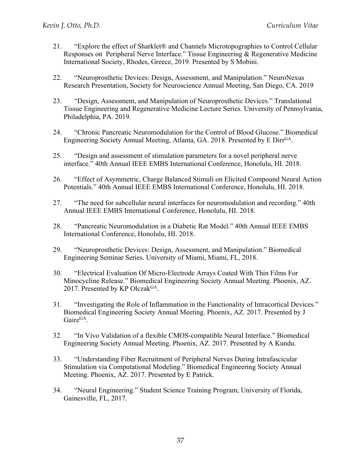- 21. "Explore the effect of Sharklet® and Channels Microtopographies to Control Cellular Responses on Peripheral Nerve Interface." Tissue Engineering & Regenerative Medicine International Society, Rhodes, Greece, 2019. Presented by S Mobini.
- 22. "Neuroprosthetic Devices: Design, Assessment, and Manipulation." NeuroNexus Research Presentation, Society for Neuroscience Annual Meeting, San Diego, CA. 2019
- 23. "Design, Assessment, and Manipulation of Neuroprosthetic Devices." Translational Tissue Engineering and Regenerative Medicine Lecture Series. University of Pennsylvania, Philadelphia, PA. 2019.
- 24. "Chronic Pancreatic Neuromodulation for the Control of Blood Glucose." Biomedical Engineering Society Annual Meeting, Atlanta, GA. 2018. Presented by E Dirr<sup>GA</sup>.
- 25. "Design and assessment of stimulation parameters for a novel peripheral nerve interface." 40th Annual IEEE EMBS International Conference, Honolulu, HI. 2018.
- 26. "Effect of Asymmetric, Charge Balanced Stimuli on Elicited Compound Neural Action Potentials." 40th Annual IEEE EMBS International Conference, Honolulu, HI. 2018.
- 27. "The need for subcellular neural interfaces for neuromodulation and recording." 40th Annual IEEE EMBS International Conference, Honolulu, HI. 2018.
- 28. "Pancreatic Neuromodulation in a Diabetic Rat Model." 40th Annual IEEE EMBS International Conference, Honolulu, HI. 2018.
- 29. "Neuroprosthetic Devices: Design, Assessment, and Manipulation." Biomedical Engineering Seminar Series. University of Miami, Miami, FL, 2018.
- 30. "Electrical Evaluation Of Micro-Electrode Arrays Coated With Thin Films For Minocycline Release." Biomedical Engineering Society Annual Meeting. Phoenix, AZ. 2017. Presented by KP Olczak<sup>GA</sup>.
- 31. "Investigating the Role of Inflammation in the Functionality of Intracortical Devices." Biomedical Engineering Society Annual Meeting. Phoenix, AZ. 2017. Presented by J Gaire<sup>GA</sup>.
- 32. "In Vivo Validation of a flexible CMOS-compatible Neural Interface." Biomedical Engineering Society Annual Meeting. Phoenix, AZ. 2017. Presented by A Kundu.
- 33. "Understanding Fiber Recruitment of Peripheral Nerves During Intrafascicular Stimulation via Computational Modeling." Biomedical Engineering Society Annual Meeting. Phoenix, AZ. 2017. Presented by E Patrick.
- 34. "Neural Engineering." Student Science Training Program, University of Florida, Gainesville, FL, 2017.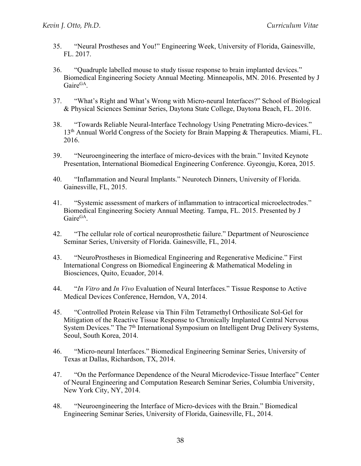- 35. "Neural Prostheses and You!" Engineering Week, University of Florida, Gainesville, FL. 2017.
- 36. "Quadruple labelled mouse to study tissue response to brain implanted devices." Biomedical Engineering Society Annual Meeting. Minneapolis, MN. 2016. Presented by J GaireGA.
- 37. "What's Right and What's Wrong with Micro-neural Interfaces?" School of Biological & Physical Sciences Seminar Series, Daytona State College, Daytona Beach, FL. 2016.
- 38. "Towards Reliable Neural-Interface Technology Using Penetrating Micro-devices." 13<sup>th</sup> Annual World Congress of the Society for Brain Mapping & Therapeutics. Miami, FL. 2016.
- 39. "Neuroengineering the interface of micro-devices with the brain." Invited Keynote Presentation, International Biomedical Engineering Conference. Gyeongju, Korea, 2015.
- 40. "Inflammation and Neural Implants." Neurotech Dinners, University of Florida. Gainesville, FL, 2015.
- 41. "Systemic assessment of markers of inflammation to intracortical microelectrodes." Biomedical Engineering Society Annual Meeting. Tampa, FL. 2015. Presented by J Gaire<sup>GA</sup>.
- 42. "The cellular role of cortical neuroprosthetic failure." Department of Neuroscience Seminar Series, University of Florida. Gainesville, FL, 2014.
- 43. "NeuroProstheses in Biomedical Engineering and Regenerative Medicine." First International Congress on Biomedical Engineering & Mathematical Modeling in Biosciences, Quito, Ecuador, 2014.
- 44. "*In Vitro* and *In Vivo* Evaluation of Neural Interfaces." Tissue Response to Active Medical Devices Conference, Herndon, VA, 2014.
- 45. "Controlled Protein Release via Thin Film Tetramethyl Orthosilicate Sol-Gel for Mitigation of the Reactive Tissue Response to Chronically Implanted Central Nervous System Devices." The 7<sup>th</sup> International Symposium on Intelligent Drug Delivery Systems, Seoul, South Korea, 2014.
- 46. "Micro-neural Interfaces." Biomedical Engineering Seminar Series, University of Texas at Dallas, Richardson, TX, 2014.
- 47. "On the Performance Dependence of the Neural Microdevice-Tissue Interface" Center of Neural Engineering and Computation Research Seminar Series, Columbia University, New York City, NY, 2014.
- 48. "Neuroengineering the Interface of Micro-devices with the Brain." Biomedical Engineering Seminar Series, University of Florida, Gainesville, FL, 2014.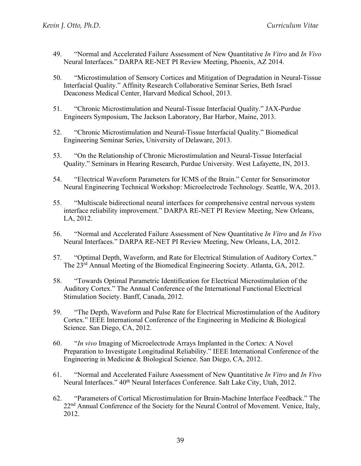- 49. "Normal and Accelerated Failure Assessment of New Quantitative *In Vitro* and *In Vivo* Neural Interfaces." DARPA RE-NET PI Review Meeting, Phoenix, AZ 2014.
- 50. "Microstimulation of Sensory Cortices and Mitigation of Degradation in Neural-Tissue Interfacial Quality." Affinity Research Collaborative Seminar Series, Beth Israel Deaconess Medical Center, Harvard Medical School, 2013.
- 51. "Chronic Microstimulation and Neural-Tissue Interfacial Quality." JAX-Purdue Engineers Symposium, The Jackson Laboratory, Bar Harbor, Maine, 2013.
- 52. "Chronic Microstimulation and Neural-Tissue Interfacial Quality." Biomedical Engineering Seminar Series, University of Delaware, 2013.
- 53. "On the Relationship of Chronic Microstimulation and Neural-Tissue Interfacial Quality." Seminars in Hearing Research, Purdue University. West Lafayette, IN, 2013.
- 54. "Electrical Waveform Parameters for ICMS of the Brain." Center for Sensorimotor Neural Engineering Technical Workshop: Microelectrode Technology. Seattle, WA, 2013.
- 55. "Multiscale bidirectional neural interfaces for comprehensive central nervous system interface reliability improvement." DARPA RE-NET PI Review Meeting, New Orleans, LA, 2012.
- 56. "Normal and Accelerated Failure Assessment of New Quantitative *In Vitro* and *In Vivo* Neural Interfaces." DARPA RE-NET PI Review Meeting, New Orleans, LA, 2012.
- 57. "Optimal Depth, Waveform, and Rate for Electrical Stimulation of Auditory Cortex." The 23rd Annual Meeting of the Biomedical Engineering Society. Atlanta, GA, 2012.
- 58. "Towards Optimal Parametric Identification for Electrical Microstimulation of the Auditory Cortex." The Annual Conference of the International Functional Electrical Stimulation Society. Banff, Canada, 2012.
- 59. "The Depth, Waveform and Pulse Rate for Electrical Microstimulation of the Auditory Cortex." IEEE International Conference of the Engineering in Medicine & Biological Science. San Diego, CA, 2012.
- 60. "*In vivo* Imaging of Microelectrode Arrays Implanted in the Cortex: A Novel Preparation to Investigate Longitudinal Reliability." IEEE International Conference of the Engineering in Medicine & Biological Science. San Diego, CA, 2012.
- 61. "Normal and Accelerated Failure Assessment of New Quantitative *In Vitro* and *In Vivo* Neural Interfaces."  $40<sup>th</sup>$  Neural Interfaces Conference. Salt Lake City, Utah, 2012.
- 62. "Parameters of Cortical Microstimulation for Brain-Machine Interface Feedback." The 22<sup>nd</sup> Annual Conference of the Society for the Neural Control of Movement. Venice, Italy, 2012.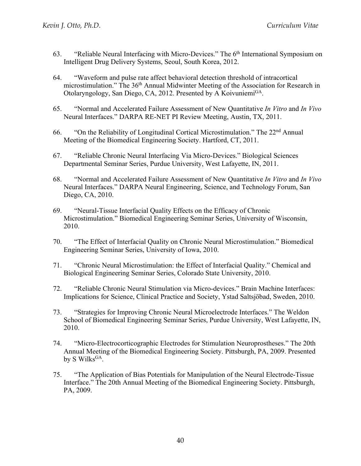- 63. "Reliable Neural Interfacing with Micro-Devices." The 6<sup>th</sup> International Symposium on Intelligent Drug Delivery Systems, Seoul, South Korea, 2012.
- 64. "Waveform and pulse rate affect behavioral detection threshold of intracortical microstimulation." The 36<sup>th</sup> Annual Midwinter Meeting of the Association for Research in Otolaryngology, San Diego, CA, 2012. Presented by A Koivuniemi<sup>GA</sup>.
- 65. "Normal and Accelerated Failure Assessment of New Quantitative *In Vitro* and *In Vivo* Neural Interfaces." DARPA RE-NET PI Review Meeting, Austin, TX, 2011.
- 66. "On the Reliability of Longitudinal Cortical Microstimulation." The 22nd Annual Meeting of the Biomedical Engineering Society. Hartford, CT, 2011.
- 67. "Reliable Chronic Neural Interfacing Via Micro-Devices." Biological Sciences Departmental Seminar Series, Purdue University, West Lafayette, IN, 2011.
- 68. "Normal and Accelerated Failure Assessment of New Quantitative *In Vitro* and *In Vivo* Neural Interfaces." DARPA Neural Engineering, Science, and Technology Forum, San Diego, CA, 2010.
- 69. "Neural-Tissue Interfacial Quality Effects on the Efficacy of Chronic Microstimulation." Biomedical Engineering Seminar Series, University of Wisconsin, 2010.
- 70. "The Effect of Interfacial Quality on Chronic Neural Microstimulation." Biomedical Engineering Seminar Series, University of Iowa, 2010.
- 71. "Chronic Neural Microstimulation: the Effect of Interfacial Quality." Chemical and Biological Engineering Seminar Series, Colorado State University, 2010.
- 72. "Reliable Chronic Neural Stimulation via Micro-devices." Brain Machine Interfaces: Implications for Science, Clinical Practice and Society, Ystad Saltsjöbad, Sweden, 2010.
- 73. "Strategies for Improving Chronic Neural Microelectrode Interfaces." The Weldon School of Biomedical Engineering Seminar Series, Purdue University, West Lafayette, IN, 2010.
- 74. "Micro-Electrocorticographic Electrodes for Stimulation Neuroprostheses." The 20th Annual Meeting of the Biomedical Engineering Society. Pittsburgh, PA, 2009. Presented by S Wilks<sup>GA</sup>.
- 75. "The Application of Bias Potentials for Manipulation of the Neural Electrode-Tissue Interface." The 20th Annual Meeting of the Biomedical Engineering Society. Pittsburgh, PA, 2009.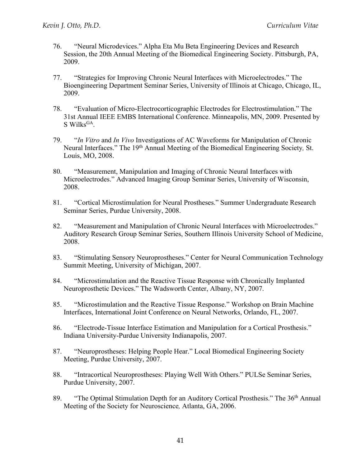- 76. "Neural Microdevices." Alpha Eta Mu Beta Engineering Devices and Research Session, the 20th Annual Meeting of the Biomedical Engineering Society. Pittsburgh, PA, 2009.
- 77. "Strategies for Improving Chronic Neural Interfaces with Microelectrodes." The Bioengineering Department Seminar Series, University of Illinois at Chicago, Chicago, IL, 2009.
- 78. "Evaluation of Micro-Electrocorticographic Electrodes for Electrostimulation." The 31st Annual IEEE EMBS International Conference. Minneapolis, MN, 2009. Presented by  $S$  Wilks<sup>GA</sup>.
- 79. "*In Vitro* and *In Vivo* Investigations of AC Waveforms for Manipulation of Chronic Neural Interfaces." The 19th Annual Meeting of the Biomedical Engineering Society*,* St. Louis, MO, 2008.
- 80. "Measurement, Manipulation and Imaging of Chronic Neural Interfaces with Microelectrodes." Advanced Imaging Group Seminar Series, University of Wisconsin, 2008.
- 81. "Cortical Microstimulation for Neural Prostheses." Summer Undergraduate Research Seminar Series, Purdue University, 2008.
- 82. "Measurement and Manipulation of Chronic Neural Interfaces with Microelectrodes." Auditory Research Group Seminar Series, Southern Illinois University School of Medicine, 2008.
- 83. "Stimulating Sensory Neuroprostheses." Center for Neural Communication Technology Summit Meeting, University of Michigan, 2007.
- 84. "Microstimulation and the Reactive Tissue Response with Chronically Implanted Neuroprosthetic Devices." The Wadsworth Center, Albany, NY, 2007.
- 85. "Microstimulation and the Reactive Tissue Response." Workshop on Brain Machine Interfaces, International Joint Conference on Neural Networks, Orlando, FL, 2007.
- 86. "Electrode-Tissue Interface Estimation and Manipulation for a Cortical Prosthesis." Indiana University-Purdue University Indianapolis, 2007.
- 87. "Neuroprostheses: Helping People Hear." Local Biomedical Engineering Society Meeting, Purdue University, 2007.
- 88. "Intracortical Neuroprostheses: Playing Well With Others." PULSe Seminar Series, Purdue University, 2007.
- 89. "The Optimal Stimulation Depth for an Auditory Cortical Prosthesis." The 36<sup>th</sup> Annual Meeting of the Society for Neuroscience*,* Atlanta, GA, 2006.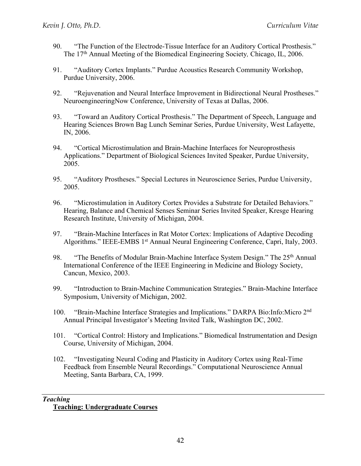- 90. "The Function of the Electrode-Tissue Interface for an Auditory Cortical Prosthesis." The 17th Annual Meeting of the Biomedical Engineering Society*,* Chicago, IL, 2006.
- 91. "Auditory Cortex Implants." Purdue Acoustics Research Community Workshop, Purdue University, 2006.
- 92. "Rejuvenation and Neural Interface Improvement in Bidirectional Neural Prostheses." NeuroengineeringNow Conference, University of Texas at Dallas, 2006.
- 93. "Toward an Auditory Cortical Prosthesis." The Department of Speech, Language and Hearing Sciences Brown Bag Lunch Seminar Series, Purdue University, West Lafayette, IN, 2006.
- 94. "Cortical Microstimulation and Brain-Machine Interfaces for Neuroprosthesis Applications." Department of Biological Sciences Invited Speaker, Purdue University, 2005.
- 95. "Auditory Prostheses." Special Lectures in Neuroscience Series, Purdue University, 2005.
- 96. "Microstimulation in Auditory Cortex Provides a Substrate for Detailed Behaviors." Hearing, Balance and Chemical Senses Seminar Series Invited Speaker, Kresge Hearing Research Institute, University of Michigan, 2004.
- 97. "Brain-Machine Interfaces in Rat Motor Cortex: Implications of Adaptive Decoding Algorithms." IEEE-EMBS 1<sup>st</sup> Annual Neural Engineering Conference, Capri, Italy, 2003.
- 98. "The Benefits of Modular Brain-Machine Interface System Design." The 25<sup>th</sup> Annual International Conference of the IEEE Engineering in Medicine and Biology Society, Cancun, Mexico, 2003.
- 99. "Introduction to Brain-Machine Communication Strategies." Brain-Machine Interface Symposium, University of Michigan, 2002.
- 100. "Brain-Machine Interface Strategies and Implications." DARPA Bio:Info:Micro 2nd Annual Principal Investigator's Meeting Invited Talk, Washington DC, 2002.
- 101. "Cortical Control: History and Implications." Biomedical Instrumentation and Design Course, University of Michigan, 2004.
- 102. "Investigating Neural Coding and Plasticity in Auditory Cortex using Real-Time Feedback from Ensemble Neural Recordings." Computational Neuroscience Annual Meeting, Santa Barbara, CA, 1999.

#### *Teaching*  **Teaching: Undergraduate Courses**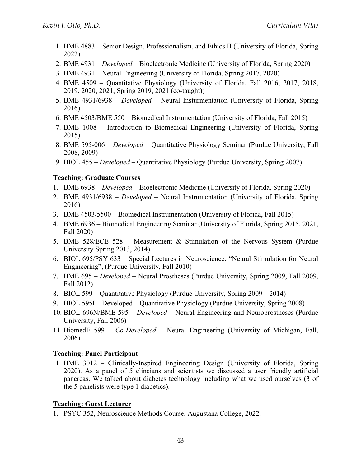- 1. BME 4883 Senior Design, Professionalism, and Ethics II (University of Florida, Spring 2022)
- 2. BME 4931 *Developed* Bioelectronic Medicine (University of Florida, Spring 2020)
- 3. BME 4931 Neural Engineering (University of Florida, Spring 2017, 2020)
- 4. BME 4509 Quantitative Physiology (University of Florida, Fall 2016, 2017, 2018, 2019, 2020, 2021, Spring 2019, 2021 (co-taught))
- 5. BME 4931/6938 *Developed* Neural Insturmentation (University of Florida, Spring 2016)
- 6. BME 4503/BME 550 Biomedical Instrumentation (University of Florida, Fall 2015)
- 7. BME 1008 Introduction to Biomedical Engineering (University of Florida, Spring 2015)
- 8. BME 595-006 *Developed* Quantitative Physiology Seminar (Purdue University, Fall 2008, 2009)
- 9. BIOL 455 *Developed* Quantitative Physiology (Purdue University, Spring 2007)

# **Teaching: Graduate Courses**

- 1. BME 6938 *Developed* Bioelectronic Medicine (University of Florida, Spring 2020)
- 2. BME 4931/6938 *Developed* Neural Instrumentation (University of Florida, Spring 2016)
- 3. BME 4503/5500 Biomedical Instrumentation (University of Florida, Fall 2015)
- 4. BME 6936 Biomedical Engineering Seminar (University of Florida, Spring 2015, 2021, Fall 2020)
- 5. BME 528/ECE 528 Measurement & Stimulation of the Nervous System (Purdue University Spring 2013, 2014)
- 6. BIOL 695/PSY 633 Special Lectures in Neuroscience: "Neural Stimulation for Neural Engineering", (Purdue University, Fall 2010)
- 7. BME 695 *Developed –* Neural Prostheses (Purdue University, Spring 2009, Fall 2009, Fall 2012)
- 8. BIOL 599 Quantitative Physiology (Purdue University, Spring 2009 2014)
- 9. BIOL 595I Developed Quantitative Physiology (Purdue University, Spring 2008)
- 10. BIOL 696N/BME 595 *Developed –* Neural Engineering and Neuroprostheses (Purdue University, Fall 2006)
- 11. BiomedE 599 *Co-Developed* Neural Engineering (University of Michigan, Fall, 2006)

# **Teaching: Panel Participant**

1. BME 3012 – Clinically-Inspired Engineering Design (University of Florida, Spring 2020). As a panel of 5 clincians and scientists we discussed a user friendly artificial pancreas. We talked about diabetes technology including what we used ourselves (3 of the 5 panelists were type 1 diabetics).

# **Teaching: Guest Lecturer**

1. PSYC 352, Neuroscience Methods Course, Augustana College, 2022.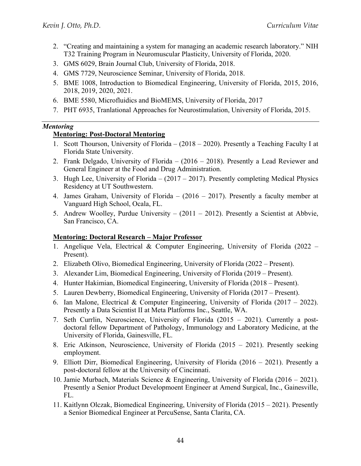- 2. "Creating and maintaining a system for managing an academic research laboratory." NIH T32 Training Program in Neuromuscular Plasticity, University of Florida, 2020.
- 3. GMS 6029, Brain Journal Club, University of Florida, 2018.
- 4. GMS 7729, Neuroscience Seminar, University of Florida, 2018.
- 5. BME 1008, Introduction to Biomedical Engineering, University of Florida, 2015, 2016, 2018, 2019, 2020, 2021.
- 6. BME 5580, Microfluidics and BioMEMS, University of Florida, 2017
- 7. PHT 6935, Tranlational Approaches for Neurostimulation, University of Florida, 2015.

#### *Mentoring*

### **Mentoring: Post-Doctoral Mentoring**

- 1. Scott Thourson, University of Florida (2018 2020). Presently a Teaching Faculty I at Florida State University.
- 2. Frank Delgado, University of Florida (2016 2018). Presently a Lead Reviewer and General Engineer at the Food and Drug Administration.
- 3. Hugh Lee, University of Florida (2017 2017). Presently completing Medical Physics Residency at UT Southwestern.
- 4. James Graham, University of Florida (2016 2017). Presently a faculty member at Vanguard High School, Ocala, FL.
- 5. Andrew Woolley, Purdue University (2011 2012). Presently a Scientist at Abbvie, San Francisco, CA.

#### **Mentoring: Doctoral Research – Major Professor**

- 1. Angelique Vela, Electrical & Computer Engineering, University of Florida (2022 Present).
- 2. Elizabeth Olivo, Biomedical Engineering, University of Florida (2022 Present).
- 3. Alexander Lim, Biomedical Engineering, University of Florida (2019 Present).
- 4. Hunter Hakimian, Biomedical Engineering, University of Florida (2018 Present).
- 5. Lauren Dewberry, Biomedical Engineering, University of Florida (2017 Present).
- 6. Ian Malone, Electrical & Computer Engineering, University of Florida  $(2017 2022)$ . Presently a Data Scientist II at Meta Platforms Inc., Seattle, WA.
- 7. Seth Currlin, Neuroscience, University of Florida (2015 2021). Currently a postdoctoral fellow Department of Pathology, Immunology and Laboratory Medicine, at the University of Florida, Gainesville, FL.
- 8. Eric Atkinson, Neuroscience, University of Florida (2015 2021). Presently seeking employment.
- 9. Elliott Dirr, Biomedical Engineering, University of Florida (2016 2021). Presently a post-doctoral fellow at the University of Cincinnati.
- 10. Jamie Murbach, Materials Science & Engineering, University of Florida (2016 2021). Presently a Senior Product Developmoent Engineer at Amend Surgical, Inc., Gainesville, FL.
- 11. Kaitlynn Olczak, Biomedical Engineering, University of Florida (2015 2021). Presently a Senior Biomedical Engineer at PercuSense, Santa Clarita, CA.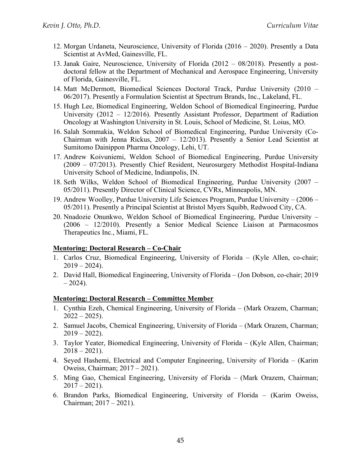- 12. Morgan Urdaneta, Neuroscience, University of Florida (2016 2020). Presently a Data Scientist at AvMed, Gainesville, FL.
- 13. Janak Gaire, Neuroscience, University of Florida (2012 08/2018). Presently a postdoctoral fellow at the Department of Mechanical and Aerospace Engineering, University of Florida, Gainesville, FL.
- 14. Matt McDermott, Biomedical Sciences Doctoral Track, Purdue University (2010 06/2017). Presently a Formulation Scientist at Spectrum Brands, Inc., Lakeland, FL.
- 15. Hugh Lee, Biomedical Engineering, Weldon School of Biomedical Engineering, Purdue University (2012 – 12/2016). Presently Assistant Professor, Department of Radiation Oncology at Washington University in St. Louis, School of Medicine, St. Loius, MO.
- 16. Salah Sommakia, Weldon School of Biomedical Engineering, Purdue University (Co-Chairman with Jenna Rickus, 2007 – 12/2013). Presently a Senior Lead Scientist at Sumitomo Dainippon Pharma Oncology, Lehi, UT.
- 17. Andrew Koivuniemi, Weldon School of Biomedical Engineering, Purdue University (2009 – 07/2013). Presently Chief Resident, Neurosurgery Methodist Hospital-Indiana University School of Medicine, Indianpolis, IN.
- 18. Seth Wilks, Weldon School of Biomedical Engineering, Purdue University (2007 05/2011). Presently Director of Clinical Science, CVRx, Minneapolis, MN.
- 19. Andrew Woolley, Purdue University Life Sciences Program, Purdue University (2006 05/2011). Presently a Principal Scientist at Bristol Myers Squibb, Redwood City, CA.
- 20. Nnadozie Onunkwo, Weldon School of Biomedical Engineering, Purdue University (2006 – 12/2010). Presently a Senior Medical Science Liaison at Parmacosmos Therapeutics Inc., Miami, FL.

#### **Mentoring: Doctoral Research – Co-Chair**

- 1. Carlos Cruz, Biomedical Engineering, University of Florida (Kyle Allen, co-chair;  $2019 - 2024$ ).
- 2. David Hall, Biomedical Engineering, University of Florida (Jon Dobson, co-chair; 2019  $-2024$ ).

#### **Mentoring: Doctoral Research – Committee Member**

- 1. Cynthia Ezeh, Chemical Engineering, University of Florida (Mark Orazem, Charman;  $2022 - 2025$ .
- 2. Samuel Jacobs, Chemical Engineering, University of Florida (Mark Orazem, Charman;  $2019 - 2022$ ).
- 3. Taylor Yeater, Biomedical Engineering, University of Florida (Kyle Allen, Chairman;  $2018 - 2021$ .
- 4. Seyed Hashemi, Electrical and Computer Engineering, University of Florida (Karim Oweiss, Chairman; 2017 – 2021).
- 5. Ming Gao, Chemical Engineering, University of Florida (Mark Orazem, Chairman;  $2017 - 2021$ .
- 6. Brandon Parks, Biomedical Engineering, University of Florida (Karim Oweiss, Chairman; 2017 – 2021).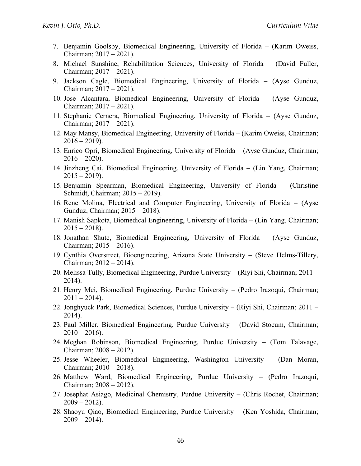- 7. Benjamin Goolsby, Biomedical Engineering, University of Florida (Karim Oweiss, Chairman; 2017 – 2021).
- 8. Michael Sunshine, Rehabilitation Sciences, University of Florida (David Fuller, Chairman; 2017 – 2021).
- 9. Jackson Cagle, Biomedical Engineering, University of Florida (Ayse Gunduz, Chairman; 2017 – 2021).
- 10. Jose Alcantara, Biomedical Engineering, University of Florida (Ayse Gunduz, Chairman; 2017 – 2021).
- 11. Stephanie Cernera, Biomedical Engineering, University of Florida (Ayse Gunduz, Chairman; 2017 – 2021).
- 12. May Mansy, Biomedical Engineering, University of Florida (Karim Oweiss, Chairman;  $2016 - 2019$ ).
- 13. Enrico Opri, Biomedical Engineering, University of Florida (Ayse Gunduz, Chairman;  $2016 - 2020$ ).
- 14. Jinzheng Cai, Biomedical Engineering, University of Florida (Lin Yang, Chairman;  $2015 - 2019$ ).
- 15. Benjamin Spearman, Biomedical Engineering, University of Florida (Christine Schmidt, Chairman; 2015 – 2019).
- 16. Rene Molina, Electrical and Computer Engineering, University of Florida (Ayse Gunduz, Chairman; 2015 – 2018).
- 17. Manish Sapkota, Biomedical Engineering, University of Florida (Lin Yang, Chairman;  $2015 - 2018$ .
- 18. Jonathan Shute, Biomedical Engineering, University of Florida (Ayse Gunduz, Chairman; 2015 – 2016).
- 19. Cynthia Overstreet, Bioengineering, Arizona State University (Steve Helms-Tillery, Chairman; 2012 – 2014).
- 20. Melissa Tully, Biomedical Engineering, Purdue University (Riyi Shi, Chairman; 2011 2014).
- 21. Henry Mei, Biomedical Engineering, Purdue University (Pedro Irazoqui, Chairman;  $2011 - 2014$ .
- 22. Jonghyuck Park, Biomedical Sciences, Purdue University (Riyi Shi, Chairman; 2011 2014).
- 23. Paul Miller, Biomedical Engineering, Purdue University (David Stocum, Chairman;  $2010 - 2016$ ).
- 24. Meghan Robinson, Biomedical Engineering, Purdue University (Tom Talavage, Chairman; 2008 – 2012).
- 25. Jesse Wheeler, Biomedical Engineering, Washington University (Dan Moran, Chairman; 2010 – 2018).
- 26. Matthew Ward, Biomedical Engineering, Purdue University (Pedro Irazoqui, Chairman; 2008 – 2012).
- 27. Josephat Asiago, Medicinal Chemistry, Purdue University (Chris Rochet, Chairman;  $2009 - 2012$ ).
- 28. Shaoyu Qiao, Biomedical Engineering, Purdue University (Ken Yoshida, Chairman;  $2009 - 2014$ .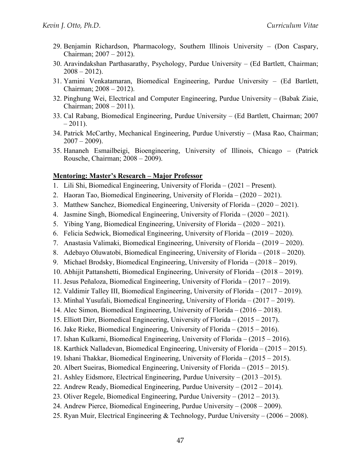- 29. Benjamin Richardson, Pharmacology, Southern Illinois University (Don Caspary, Chairman; 2007 – 2012).
- 30. Aravindakshan Parthasarathy, Psychology, Purdue University (Ed Bartlett, Chairman;  $2008 - 2012$ ).
- 31. Yamini Venkatamaran, Biomedical Engineering, Purdue University (Ed Bartlett, Chairman; 2008 – 2012).
- 32. Pinghung Wei, Electrical and Computer Engineering, Purdue University (Babak Ziaie, Chairman; 2008 – 2011).
- 33. Cal Rabang, Biomedical Engineering, Purdue University (Ed Bartlett, Chairman; 2007  $-2011$ ).
- 34. Patrick McCarthy, Mechanical Engineering, Purdue Universtiy (Masa Rao, Chairman;  $2007 - 2009$ ).
- 35. Hananeh Esmailbeigi, Bioengineering, University of Illinois, Chicago (Patrick Rousche, Chairman; 2008 – 2009).

#### **Mentoring: Master's Research – Major Professor**

- 1. Lili Shi, Biomedical Engineering, University of Florida (2021 Present).
- 2. Haoran Tao, Biomedical Engineering, University of Florida (2020 2021).
- 3. Matthew Sanchez, Biomedical Engineering, University of Florida (2020 2021).
- 4. Jasmine Singh, Biomedical Engineering, University of Florida (2020 2021).
- 5. Yibing Yang, Biomedical Engineering, University of Florida (2020 2021).
- 6. Felicia Sedwick, Biomedical Engineering, University of Florida (2019 2020).
- 7. Anastasia Valimaki, Biomedical Engineering, University of Florida (2019 2020).
- 8. Adebayo Oluwatobi, Biomedical Engineering, University of Florida (2018 2020).
- 9. Michael Brodsky, Biomedical Engineering, University of Florida (2018 2019).
- 10. Abhijit Pattanshetti, Biomedical Engineering, University of Florida (2018 2019).
- 11. Jesus Peñaloza, Biomedical Engineering, University of Florida (2017 2019).
- 12. Valdimir Talley III, Biomedical Engineering, University of Florida (2017 2019).
- 13. Minhal Yusufali, Biomedical Engineering, University of Florida (2017 2019).
- 14. Alec Simon, Biomedical Engineering, University of Florida (2016 2018).
- 15. Elliott Dirr, Biomedical Engineering, University of Florida (2015 2017).
- 16. Jake Rieke, Biomedical Engineering, University of Florida (2015 2016).
- 17. Ishan Kulkarni, Biomedical Engineering, University of Florida (2015 2016).
- 18. Karthick Nalladevan, Biomedical Engineering, University of Florida (2015 2015).
- 19. Ishani Thakkar, Biomedical Engineering, University of Florida (2015 2015).
- 20. Albert Sueiras, Biomedical Engineering, University of Florida (2015 2015).
- 21. Ashley Eidsmore, Electrical Engineering, Purdue University (2013 –2015).
- 22. Andrew Ready, Biomedical Engineering, Purdue University (2012 2014).
- 23. Oliver Regele, Biomedical Engineering, Purdue University (2012 2013).
- 24. Andrew Pierce, Biomedical Engineering, Purdue University (2008 2009).
- 25. Ryan Muir, Electrical Engineering & Technology, Purdue University (2006 2008).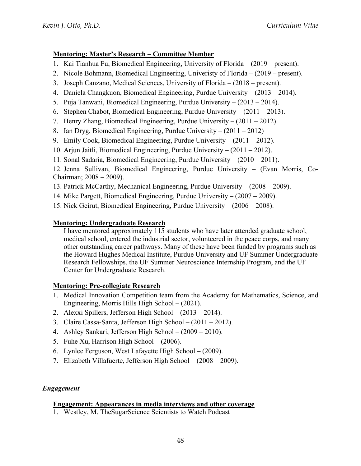# **Mentoring: Master's Research – Committee Member**

- 1. Kai Tianhua Fu, Biomedical Engineering, University of Florida (2019 present).
- 2. Nicole Bohmann, Biomedical Engineering, Univeristy of Florida (2019 present).
- 3. Joseph Canzano, Medical Sciences, University of Florida (2018 present).
- 4. Daniela Changkuon, Biomedical Engineering, Purdue University (2013 2014).
- 5. Puja Tanwani, Biomedical Engineering, Purdue University (2013 2014).
- 6. Stephen Chabot, Biomedical Engineering, Purdue University (2011 2013).
- 7. Henry Zhang, Biomedical Engineering, Purdue University (2011 2012).
- 8. Ian Dryg, Biomedical Engineering, Purdue University (2011 2012)
- 9. Emily Cook, Biomedical Engineering, Purdue University (2011 2012).
- 10. Arjun Jaitli, Biomedical Engineering, Purdue University (2011 2012).
- 11. Sonal Sadaria, Biomedical Engineering, Purdue University (2010 2011).

12. Jenna Sullivan, Biomedical Engineering, Purdue University – (Evan Morris, Co-Chairman; 2008 – 2009).

- 13. Patrick McCarthy, Mechanical Engineering, Purdue University (2008 2009).
- 14. Mike Pargett, Biomedical Engineering, Purdue University (2007 2009).
- 15. Nick Geirut, Biomedical Engineering, Purdue University (2006 2008).

# **Mentoring: Undergraduate Research**

 I have mentored approximately 115 students who have later attended graduate school, medical school, entered the industrial sector, volunteered in the peace corps, and many other outstanding career pathways. Many of these have been funded by programs such as the Howard Hughes Medical Institute, Purdue University and UF Summer Undergraduate Research Fellowships, the UF Summer Neuroscience Internship Program, and the UF Center for Undergraduate Research.

# **Mentoring: Pre-collegiate Research**

- 1. Medical Innovation Competition team from the Academy for Mathematics, Science, and Engineering, Morris Hills High School – (2021).
- 2. Alexxi Spillers, Jefferson High School (2013 2014).
- 3. Claire Cassa-Santa, Jefferson High School (2011 2012).
- 4. Ashley Sankari, Jefferson High School (2009 2010).
- 5. Fuhe Xu, Harrison High School (2006).
- 6. Lynlee Ferguson, West Lafayette High School (2009).
- 7. Elizabeth Villafuerte, Jefferson High School (2008 2009).

# *Engagement*

# **Engagement: Appearances in media interviews and other coverage**

1. Westley, M. TheSugarScience Scientists to Watch Podcast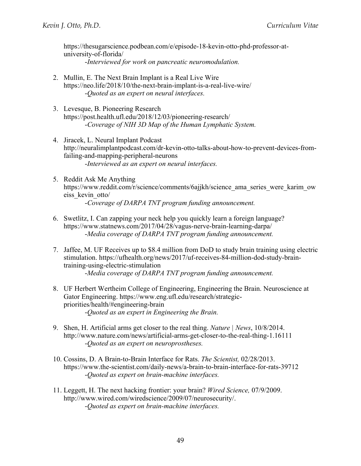https://thesugarscience.podbean.com/e/episode-18-kevin-otto-phd-professor-atuniversity-of-florida/ -*Interviewed for work on pancreatic neuromodulation.* 

- 2. Mullin, E. The Next Brain Implant is a Real Live Wire https://neo.life/2018/10/the-next-brain-implant-is-a-real-live-wire/ -*Quoted as an expert on neural interfaces.*
- 3. Levesque, B. Pioneering Research https://post.health.ufl.edu/2018/12/03/pioneering-research/ -*Coverage of NIH 3D Map of the Human Lymphatic System.*
- 4. Jiracek, L. Neural Implant Podcast http://neuralimplantpodcast.com/dr-kevin-otto-talks-about-how-to-prevent-devices-fromfailing-and-mapping-peripheral-neurons -*Interviewed as an expert on neural interfaces.*
- 5. Reddit Ask Me Anything https://www.reddit.com/r/science/comments/6ajjkh/science\_ama\_series\_were\_karim\_ow eiss\_kevin\_otto/ -*Coverage of DARPA TNT program funding announcement.*
- 6. Swetlitz, I. Can zapping your neck help you quickly learn a foreign language? https://www.statnews.com/2017/04/28/vagus-nerve-brain-learning-darpa/ -*Media coverage of DARPA TNT program funding announcement.*
- 7. Jaffee, M. UF Receives up to \$8.4 million from DoD to study brain training using electric stimulation. https://ufhealth.org/news/2017/uf-receives-84-million-dod-study-braintraining-using-electric-stimulation -*Media coverage of DARPA TNT program funding announcement.*
- 8. UF Herbert Wertheim College of Engineering, Engineering the Brain. Neuroscience at Gator Engineering. https://www.eng.ufl.edu/research/strategicpriorities/health/#engineering-brain -*Quoted as an expert in Engineering the Brain.*
- 9. Shen, H. Artificial arms get closer to the real thing. *Nature | News*, 10/8/2014. http://www.nature.com/news/artificial-arms-get-closer-to-the-real-thing-1.16111 -*Quoted as an expert on neuroprostheses.*
- 10. Cossins, D. A Brain-to-Brain Interface for Rats. *The Scientist,* 02/28/2013. https://www.the-scientist.com/daily-news/a-brain-to-brain-interface-for-rats-39712 -*Quoted as expert on brain-machine interfaces.*
- 11. Leggett, H. The next hacking frontier: your brain? *Wired Science,* 07/9/2009. http://www.wired.com/wiredscience/2009/07/neurosecurity/. -*Quoted as expert on brain-machine interfaces.*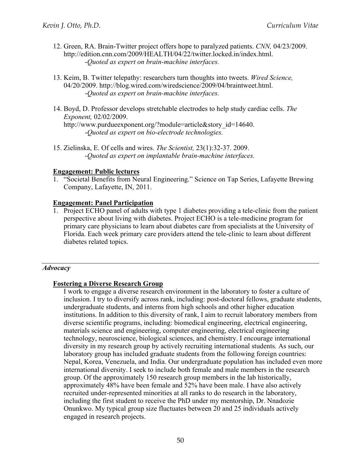- 12. Green, RA. Brain-Twitter project offers hope to paralyzed patients. *CNN,* 04/23/2009. http://edition.cnn.com/2009/HEALTH/04/22/twitter.locked.in/index.html. -*Quoted as expert on brain-machine interfaces.*
- 13. Keim, B. Twitter telepathy: researchers turn thoughts into tweets. *Wired Science,* 04/20/2009. http://blog.wired.com/wiredscience/2009/04/braintweet.html. -*Quoted as expert on brain-machine interfaces.*
- 14. Boyd, D. Professor develops stretchable electrodes to help study cardiac cells. *The Exponent,* 02/02/2009. http://www.purdueexponent.org/?module=article&story\_id=14640. -*Quoted as expert on bio-electrode technologies.*
- 15. Zielinska, E. Of cells and wires. *The Scientist,* 23(1):32-37. 2009. -*Quoted as expert on implantable brain-machine interfaces.*

#### **Engagement: Public lectures**

1. "Societal Benefits from Neural Engineering." Science on Tap Series, Lafayette Brewing Company, Lafayette, IN, 2011.

#### **Engagement: Panel Participation**

1. Project ECHO panel of adults with type 1 diabetes providing a tele-clinic from the patient perspective about living with diabetes. Project ECHO is a tele-medicine program for primary care physicians to learn about diabetes care from specialists at the University of Florida. Each week primary care providers attend the tele-clinic to learn about different diabetes related topics.

#### *Advocacy*

#### **Fostering a Diverse Research Group**

I work to engage a diverse research environment in the laboratory to foster a culture of inclusion. I try to diversify across rank, including: post-doctoral fellows, graduate students, undergraduate students, and interns from high schools and other higher education institutions. In addition to this diversity of rank, I aim to recruit laboratory members from diverse scientific programs, including: biomedical engineering, electrical engineering, materials science and engineering, computer engineering, electrical engineering technology, neuroscience, biological sciences, and chemistry. I encourage international diversity in my research group by actively recruiting international students. As such, our laboratory group has included graduate students from the following foreign countries: Nepal, Korea, Venezuela, and India. Our undergraduate population has included even more international diversity. I seek to include both female and male members in the research group. Of the approximately 150 research group members in the lab historically, approximately 48% have been female and 52% have been male. I have also actively recruited under-represented minorities at all ranks to do research in the laboratory, including the first student to receive the PhD under my mentorship, Dr. Nnadozie Onunkwo. My typical group size fluctuates between 20 and 25 individuals actively engaged in research projects.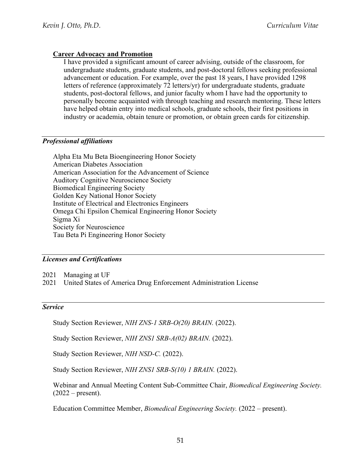#### **Career Advocacy and Promotion**

I have provided a significant amount of career advising, outside of the classroom, for undergraduate students, graduate students, and post-doctoral fellows seeking professional advancement or education. For example, over the past 18 years, I have provided 1298 letters of reference (approximately 72 letters/yr) for undergraduate students, graduate students, post-doctoral fellows, and junior faculty whom I have had the opportunity to personally become acquainted with through teaching and research mentoring. These letters have helped obtain entry into medical schools, graduate schools, their first positions in industry or academia, obtain tenure or promotion, or obtain green cards for citizenship.

#### *Professional affiliations*

Alpha Eta Mu Beta Bioengineering Honor Society American Diabetes Association American Association for the Advancement of Science Auditory Cognitive Neuroscience Society Biomedical Engineering Society Golden Key National Honor Society Institute of Electrical and Electronics Engineers Omega Chi Epsilon Chemical Engineering Honor Society Sigma Xi Society for Neuroscience Tau Beta Pi Engineering Honor Society

#### *Licenses and Certifications*

2021 Managing at UF

2021 United States of America Drug Enforcement Administration License

#### *Service*

Study Section Reviewer, *NIH ZNS-1 SRB-O(20) BRAIN.* (2022).

Study Section Reviewer, *NIH ZNS1 SRB-A(02) BRAIN.* (2022).

Study Section Reviewer, *NIH NSD-C.* (2022).

Study Section Reviewer, *NIH ZNS1 SRB-S(10) 1 BRAIN.* (2022).

Webinar and Annual Meeting Content Sub-Committee Chair, *Biomedical Engineering Society.*   $(2022 - \text{present}).$ 

Education Committee Member, *Biomedical Engineering Society.* (2022 – present).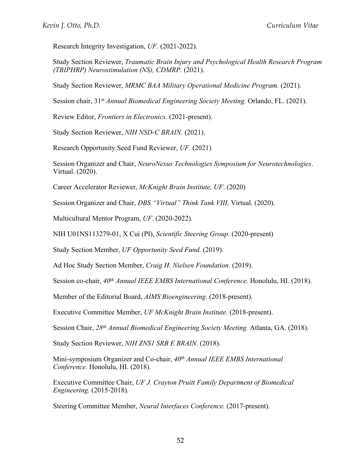Research Integrity Investigation, *UF.* (2021-2022).

Study Section Reviewer, *Traumatic Brain Injury and Psychological Health Research Program (TBIPHRP) Neurostimulation (NS), CDMRP.* (2021).

Study Section Reviewer, *MRMC BAA Military Operational Medicine Program.* (2021).

Session chair, 31st *Annual Biomedical Engineering Society Meeting.* Orlando, FL. (2021).

Review Editor, *Frontiers in Electronics*. (2021-present).

Study Section Reviewer, *NIH NSD-C BRAIN.* (2021).

Research Opportunity Seed Fund Reviewer, *UF*. (2021)

Session Organizer and Chair, *NeuroNexus Technologies Symposium for Neurotechnologies*. Virtual. (2020).

Career Accelerator Reviewer, *McKnight Brain Institute, UF*. (2020)

Session Organizer and Chair, *DBS "Virtual" Think Tank VIII*. Virtual. (2020).

Multicultural Mentor Program, *UF*. (2020-2022).

NIH U01NS113279-01, X Cui (PI), *Scientific Steering Group*. (2020-present)

Study Section Member, *UF Opportunity Seed Fund.* (2019).

Ad Hoc Study Section Member, *Craig H. Nielsen Foundation.* (2019).

Session co-chair,  $40^{th}$  Annual IEEE EMBS International Conference. Honolulu, HI. (2018).

Member of the Editorial Board, *AIMS Bioengineering*. (2018-present).

Executive Committee Member, *UF McKnight Brain Institute.* (2018-present).

Session Chair, *28th Annual Biomedical Engineering Society Meeting.* Atlanta, GA. (2018).

Study Section Reviewer, *NIH ZNS1 SRB E BRAIN.* (2018).

Mini-symposium Organizer and Co-chair, *40th Annual IEEE EMBS International Conference.* Honolulu, HI. (2018).

Executive Committee Chair, *UF J. Crayton Pruitt Family Department of Biomedical Engineering.* (2015-2018).

Steering Committee Member, *Neural Interfaces Conference.* (2017-present).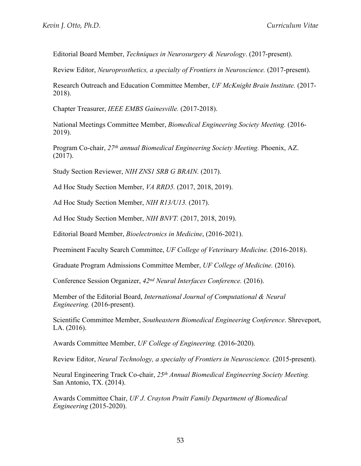Editorial Board Member, *Techniques in Neurosurgery & Neurology*. (2017-present).

Review Editor, *Neuroprosthetics, a specialty of Frontiers in Neuroscience.* (2017-present).

Research Outreach and Education Committee Member, *UF McKnight Brain Institute.* (2017- 2018).

Chapter Treasurer, *IEEE EMBS Gainesville.* (2017-2018).

National Meetings Committee Member, *Biomedical Engineering Society Meeting.* (2016- 2019).

Program Co-chair, *27th annual Biomedical Engineering Society Meeting.* Phoenix, AZ. (2017).

Study Section Reviewer, *NIH ZNS1 SRB G BRAIN.* (2017).

Ad Hoc Study Section Member, *VA RRD5.* (2017, 2018, 2019).

Ad Hoc Study Section Member, *NIH R13/U13.* (2017).

Ad Hoc Study Section Member, *NIH BNVT.* (2017, 2018, 2019).

Editorial Board Member, *Bioelectronics in Medicine*, (2016-2021).

Preeminent Faculty Search Committee, *UF College of Veterinary Medicine.* (2016-2018).

Graduate Program Admissions Committee Member, *UF College of Medicine.* (2016).

Conference Session Organizer, *42nd Neural Interfaces Conference.* (2016).

Member of the Editorial Board, *International Journal of Computational & Neural Engineering.* (2016-present).

Scientific Committee Member, *Southeastern Biomedical Engineering Conference*. Shreveport, LA. (2016).

Awards Committee Member, *UF College of Engineering.* (2016-2020).

Review Editor, *Neural Technology, a specialty of Frontiers in Neuroscience.* (2015-present).

Neural Engineering Track Co-chair, *25th Annual Biomedical Engineering Society Meeting.* San Antonio, TX. (2014).

Awards Committee Chair, *UF J. Crayton Pruitt Family Department of Biomedical Engineering* (2015-2020).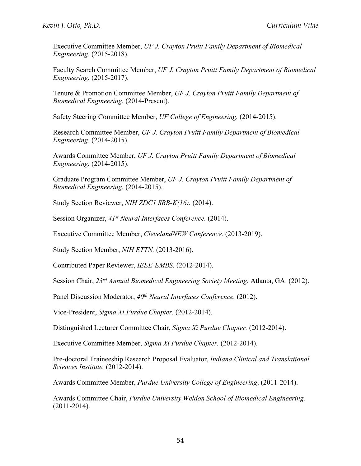Executive Committee Member, *UF J. Crayton Pruitt Family Department of Biomedical Engineering.* (2015-2018).

Faculty Search Committee Member, *UF J. Crayton Pruitt Family Department of Biomedical Engineering.* (2015-2017).

Tenure & Promotion Committee Member, *UF J. Crayton Pruitt Family Department of Biomedical Engineering.* (2014-Present).

Safety Steering Committee Member, *UF College of Engineering.* (2014-2015).

Research Committee Member, *UF J. Crayton Pruitt Family Department of Biomedical Engineering.* (2014-2015).

Awards Committee Member, *UF J. Crayton Pruitt Family Department of Biomedical Engineering.* (2014-2015).

Graduate Program Committee Member, *UF J. Crayton Pruitt Family Department of Biomedical Engineering.* (2014-2015).

Study Section Reviewer, *NIH ZDC1 SRB-K(16).* (2014).

Session Organizer, *41st Neural Interfaces Conference.* (2014).

Executive Committee Member, *ClevelandNEW Conference.* (2013-2019).

Study Section Member, *NIH ETTN.* (2013-2016).

Contributed Paper Reviewer, *IEEE-EMBS.* (2012-2014).

Session Chair, *23rd Annual Biomedical Engineering Society Meeting.* Atlanta, GA. (2012).

Panel Discussion Moderator, *40th Neural Interfaces Conference.* (2012).

Vice-President, *Sigma Xi Purdue Chapter.* (2012-2014).

Distinguished Lecturer Committee Chair, *Sigma Xi Purdue Chapter.* (2012-2014).

Executive Committee Member, *Sigma Xi Purdue Chapter.* (2012-2014).

Pre-doctoral Traineeship Research Proposal Evaluator, *Indiana Clinical and Translational Sciences Institute.* (2012-2014).

Awards Committee Member, *Purdue University College of Engineering*. (2011-2014).

Awards Committee Chair, *Purdue University Weldon School of Biomedical Engineering.* (2011-2014).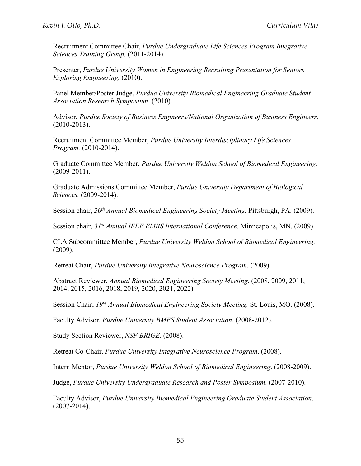Recruitment Committee Chair, *Purdue Undergraduate Life Sciences Program Integrative Sciences Training Group.* (2011-2014).

Presenter, *Purdue University Women in Engineering Recruiting Presentation for Seniors Exploring Engineering.* (2010).

Panel Member/Poster Judge, *Purdue University Biomedical Engineering Graduate Student Association Research Symposium.* (2010).

Advisor, *Purdue Society of Business Engineers/National Organization of Business Engineers.* (2010-2013).

Recruitment Committee Member, *Purdue University Interdisciplinary Life Sciences Program.* (2010-2014).

Graduate Committee Member, *Purdue University Weldon School of Biomedical Engineering.* (2009-2011).

Graduate Admissions Committee Member, *Purdue University Department of Biological Sciences.* (2009-2014).

Session chair, *20th Annual Biomedical Engineering Society Meeting.* Pittsburgh, PA. (2009).

Session chair, *31st Annual IEEE EMBS International Conference.* Minneapolis, MN. (2009).

CLA Subcommittee Member, *Purdue University Weldon School of Biomedical Engineering.* (2009).

Retreat Chair, *Purdue University Integrative Neuroscience Program.* (2009).

Abstract Reviewer, *Annual Biomedical Engineering Society Meeting*, (2008, 2009, 2011, 2014, 2015, 2016, 2018, 2019, 2020, 2021, 2022)

Session Chair, *19th Annual Biomedical Engineering Society Meeting.* St. Louis, MO. (2008).

Faculty Advisor, *Purdue University BMES Student Association*. (2008-2012).

Study Section Reviewer, *NSF BRIGE.* (2008).

Retreat Co-Chair, *Purdue University Integrative Neuroscience Program*. (2008).

Intern Mentor, *Purdue University Weldon School of Biomedical Engineering*. (2008-2009).

Judge, *Purdue University Undergraduate Research and Poster Symposium*. (2007-2010).

Faculty Advisor, *Purdue University Biomedical Engineering Graduate Student Association*. (2007-2014).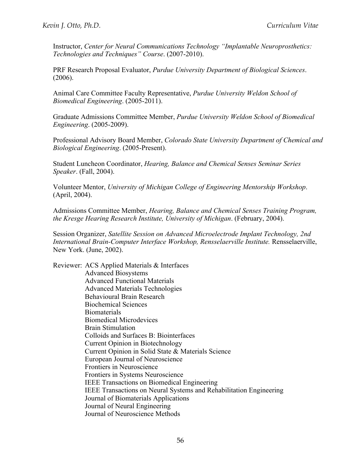Instructor, *Center for Neural Communications Technology "Implantable Neuroprosthetics: Technologies and Techniques" Course*. (2007-2010).

PRF Research Proposal Evaluator, *Purdue University Department of Biological Sciences*. (2006).

Animal Care Committee Faculty Representative, *Purdue University Weldon School of Biomedical Engineering*. (2005-2011).

Graduate Admissions Committee Member, *Purdue University Weldon School of Biomedical Engineering*. (2005-2009).

Professional Advisory Board Member, *Colorado State University Department of Chemical and Biological Engineering*. (2005-Present).

Student Luncheon Coordinator, *Hearing, Balance and Chemical Senses Seminar Series Speaker*. (Fall, 2004).

Volunteer Mentor, *University of Michigan College of Engineering Mentorship Workshop*. (April, 2004).

Admissions Committee Member, *Hearing, Balance and Chemical Senses Training Program, the Kresge Hearing Research Institute, University of Michigan*. (February, 2004).

Session Organizer, *Satellite Session on Advanced Microelectrode Implant Technology, 2nd International Brain-Computer Interface Workshop, Rensselaerville Institute.* Rensselaerville, New York. (June, 2002).

Reviewer: ACS Applied Materials & Interfaces Advanced Biosystems Advanced Functional Materials Advanced Materials Technologies Behavioural Brain Research Biochemical Sciences Biomaterials Biomedical Microdevices Brain Stimulation Colloids and Surfaces B: Biointerfaces Current Opinion in Biotechnology Current Opinion in Solid State & Materials Science European Journal of Neuroscience Frontiers in Neuroscience Frontiers in Systems Neuroscience IEEE Transactions on Biomedical Engineering IEEE Transactions on Neural Systems and Rehabilitation Engineering Journal of Biomaterials Applications Journal of Neural Engineering Journal of Neuroscience Methods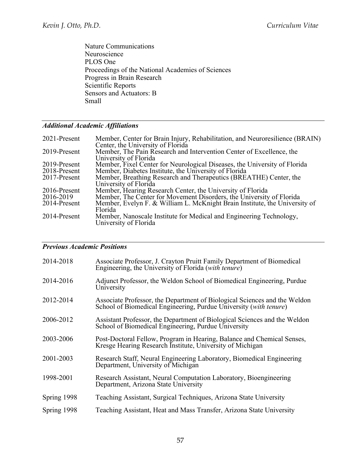Nature Communications Neuroscience PLOS One Proceedings of the National Academies of Sciences Progress in Brain Research Scientific Reports Sensors and Actuators: B Small

# *Additional Academic Affiliations*

| 2021-Present | Member, Center for Brain Injury, Rehabilitation, and Neuroresilience (BRAIN)<br>Center, the University of Florida |
|--------------|-------------------------------------------------------------------------------------------------------------------|
| 2019-Present | Member, The Pain Research and Intervention Center of Excellence, the<br>University of Florida                     |
| 2019-Present | Member, Fixel Center for Neurological Diseases, the University of Florida                                         |
| 2018-Present | Member, Diabetes Institute, the University of Florida                                                             |
| 2017-Present | Member, Breathing Research and Therapeutics (BREATHE) Center, the<br>University of Florida                        |
| 2016-Present | Member, Hearing Research Center, the University of Florida                                                        |
| 2016-2019    | Member, The Center for Movement Disorders, the University of Florida                                              |
| 2014-Present | Member, Evelyn F. & William L. McKnight Brain Institute, the University of<br>Florida                             |
| 2014-Present | Member, Nanoscale Institute for Medical and Engineering Technology,<br>University of Florida                      |

## *Previous Academic Positions*

| 2014-2018   | Associate Professor, J. Crayton Pruitt Family Department of Biomedical<br>Engineering, the University of Florida (with tenure)                 |
|-------------|------------------------------------------------------------------------------------------------------------------------------------------------|
| 2014-2016   | Adjunct Professor, the Weldon School of Biomedical Engineering, Purdue<br>University                                                           |
| 2012-2014   | Associate Professor, the Department of Biological Sciences and the Weldon<br>School of Biomedical Engineering, Purdue University (with tenure) |
| 2006-2012   | Assistant Professor, the Department of Biological Sciences and the Weldon<br>School of Biomedical Engineering, Purdue University               |
| 2003-2006   | Post-Doctoral Fellow, Program in Hearing, Balance and Chemical Senses,<br>Kresge Hearing Research Institute, University of Michigan            |
| 2001-2003   | Research Staff, Neural Engineering Laboratory, Biomedical Engineering<br>Department, University of Michigan                                    |
| 1998-2001   | Research Assistant, Neural Computation Laboratory, Bioengineering<br>Department, Arizona State University                                      |
| Spring 1998 | Teaching Assistant, Surgical Techniques, Arizona State University                                                                              |
| Spring 1998 | Teaching Assistant, Heat and Mass Transfer, Arizona State University                                                                           |
|             |                                                                                                                                                |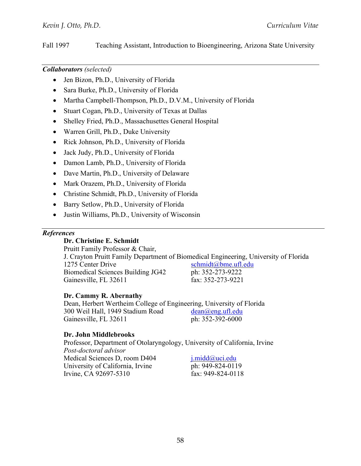Fall 1997 Teaching Assistant, Introduction to Bioengineering, Arizona State University

#### *Collaborators (selected)*

- Jen Bizon, Ph.D., University of Florida
- Sara Burke, Ph.D., University of Florida
- Martha Campbell-Thompson, Ph.D., D.V.M., University of Florida
- Stuart Cogan, Ph.D., University of Texas at Dallas
- Shelley Fried, Ph.D., Massachusettes General Hospital
- Warren Grill, Ph.D., Duke University
- Rick Johnson, Ph.D., University of Florida
- Jack Judy, Ph.D., University of Florida
- Damon Lamb, Ph.D., University of Florida
- Dave Martin, Ph.D., University of Delaware
- Mark Orazem, Ph.D., University of Florida
- Christine Schmidt, Ph.D., University of Florida
- Barry Setlow, Ph.D., University of Florida
- Justin Williams, Ph.D., University of Wisconsin

#### *References*

#### **Dr. Christine E. Schmidt**

 Pruitt Family Professor & Chair, J. Crayton Pruitt Family Department of Biomedical Engineering, University of Florida 1275 Center Drive schmidt@bme.ufl.edu Biomedical Sciences Building JG42 ph: 352-273-9222 Gainesville, FL 32611 fax: 352-273-9221

#### **Dr. Cammy R. Abernathy**

 Dean, Herbert Wertheim College of Engineering, University of Florida 300 Weil Hall, 1949 Stadium Road dean@eng.ufl.edu Gainesville, FL 32611 ph: 352-392-6000

#### **Dr. John Middlebrooks**

 Professor, Department of Otolaryngology, University of California, Irvine *Post-doctoral advisor* Medical Sciences D, room D404 *j.midd@uci.edu* University of California, Irvine ph: 949-824-0119 Irvine, CA 92697-5310 fax: 949-824-0118